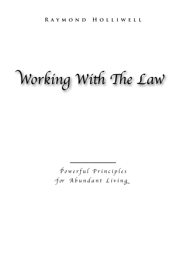# W*orking Wi*% &*e La*w

P *o w e r f u l Principles* f *or Abundant Livin* g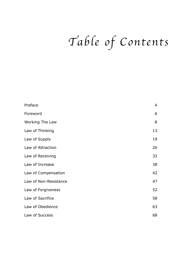## $T$ able of Contents

| Preface               | $\overline{4}$ |
|-----------------------|----------------|
| Foreword              | 6              |
| Working The Law       | 8              |
| Law of Thinking       | 13             |
| Law of Supply         | 19             |
| Law of Attraction     | 26             |
| Law of Receiving      | 32             |
| Law of Increase       | 38             |
| Law of Compensation   | 42             |
| Law of Non-Resistance | 47             |
| Law of Forgiveness    | 52             |
| Law of Sacrifice      | 58             |
| Law of Obedience      | 63             |
| Law of Success        | 68             |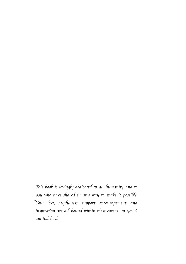\**is book is lovingly dedica*+*d* , *a*- *humani*. *and* , y*ou who have shared in any way* , *make it possible.* Y*our love, help*1*lness, support, encouragement, and inspira*2*on are a*- *bound wi*%*in* %*ese covers*—, *you I am indeb*+*d.*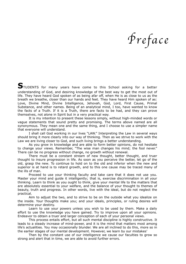## <span id="page-3-0"></span>P*re fa c e*

**S**TUDENTS for many years have come to this School asking for a better understanding of God, and desiring knowledge of the best way to get the most out of life. They have heard God spoken of as being afar off, when He is as close to us as the breath we breathe, closer than our hands and feet. They have heard Him spoken of as: Love, Divine Mind, Divine Intelligence, Jehovah, God, Lord, First Cause, Primal Substance, and other names. Being of an analytical mind, I too, have wanted to know the facts of a Truth. If it is a Truth, there are facts to be had, and they can prove themselves, not alone in Spirit but in a very practical way.

 It is my intention to present these lessons simply, without high-minded words or vague statements that sound pretty and promising. The terms above named are all synonymous. They mean one and the same thing, and I choose to use a simpler name that everyone will understand.

 I shall call God working in our lives "LAW." Interpreting the Law in several ways should bring it more clearly into our way of thinking. Then as we strive to work with the Law we are living closer to God, and such living brings a better understanding.

 As you grow in knowledge and are able to form better opinions, do not hesitate to change your views. Remember, "The wise man changes his mind; the fool never." There can be no progress without change, no growth without renewal.

 There must be a constant stream of new thought, better thought, and truer thought to insure progression in life. As soon as you perceive the better, let go of the old, grasp the new. To continue to hold on to the old and inferior when the new and superior is at hand is to retard growth, and to this one cause may be traced many of the ills of man.

 Proceed to use your thinking faculty and take care that it does not use you. Master your mind and guide it intelligently; that is, exercise discrimination in all your thinking. Learn to think as you ought to think, give your mental life to the matters that are absolutely essential to your welfare, and the balance of your thought to themes of beauty, truth and progress. In other words, live with the ideal, but do not neglect the practical.

 Aim to adjust the two, and to strive to be on the outside what you idealize on the inside. Your thoughts make you; and your ideals, principles, or ruling desires will determine your destiny.

 Learn to use your powers unless you wish to be used by them. Make a daily effort to use the knowledge you have gained. Try to improve upon all your opinions. Endeavor to obtain a truer and larger conception of each of your personal views.

 This process entails effort, but all such mental discipline is highly constructive. It leads to a steady increase of mind-power, and it is the mind that matters most among life's actualities. You may occasionally blunder. We are all inclined to do this, more so in the earlier stages of our mental development. However, we learn by our mistakes'

 Then by the constant use of our intelligence we cause our faculties to grow so strong and alert that in time, we are able to avoid further errors.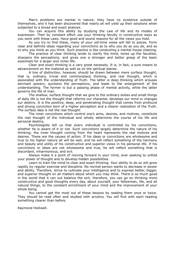Man's problems are mental in nature; they have no existence outside of themselves, and it has been discovered that nearly all will yield up their solutions when subjected to a broad and exact analysis.

 You can acquire this ability by studying the Law of life and its modes of expression. Then by constant effort use your thinking faculty in constructive ways as you work with these Laws. Have good and sound reasons for all the views you hold.

 As you try to find these, many of your old-time views will fall to pieces. Form clear and definite ideas regarding your convictions as to why you do as you do, and as to why you think as you think. Such practice is like conducting a mental house cleaning.

 The practice of clear thinking tends to clarify the mind, tones up the faculties, sharpens the perceptions, and gives one a stronger and better grasp of the basic essentials for a larger and richer life.

 Clear and exact thinking is a very great necessity. It is, in fact, a sure means to advancement on the material as well as on the spiritual planes.

 A line of distinction, however, should be drawn between mere surface thought, that is, ordinary, trivial and commonplace thinking, and real thought, which is associated with the understanding of Truth. The latter is deep thinking which arouses dormant powers, quickens the perceptions, and leads to the enlargement of the understanding. The former is but a passing phase of mental activity, while the latter governs the life of man.

 The shallow, surface thought that we give to the ordinary duties and small things of daily life is not the thought that reforms our character, develops our mind or changes our destiny. It is the positive, deep, and penetrating thought that comes from profound and strong conviction born of a higher perception and a clearer realization of the Truth. The surface idea is not the real thought.

 The inner convictions which control one's aims, desires, and motives, constitute the real thought of the individual and wholly determine the course of his life and personal destiny.

 Psychologists tell us that every individual is controlled by his convictions, whether he is aware of it or not. Such convictions largely determine the nature of his thinking; the inner thought coming from the heart represents the real motives and desires. These are the causes of action. If his ideas or convictions are wholesome and true to his higher nature all will be well, and he will reflect something of the harmony and beauty and utility of his constructive and superior views in his personal life. If his convictions or ideas are not wholesome and true, he will reflect something that is discordant, inharmonious, and evil.

 Always make it a point of moving forward in your mind, ever seeking to unfold your power of thought and to develop hidden possibilities.

 Learn to train the mind to clear and exact thinking. Your ability to do so will grow rapidly by regular exercise and discipline. No normal person wants to decrease in power and ability. Therefore, strive to cultivate your intelligence and to express better, bigger, and superior thought on all matters about which you may think. There is so much good in the world that it can out balance the evil; therefore, you can go on thinking more constructive and good thoughts every day, about yourself, your fellowman, life, and all natural things, to the constant enrichment of your mind and the improvement of your whole being.

 You cannot get the most out of these lessons by reading them once or twice. They should be read often and studied with scrutiny. You will find with each reading something clearer than before.

Raymond Holliwell.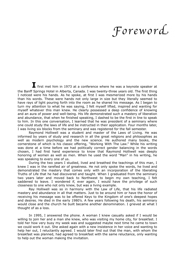### <span id="page-5-0"></span>F*orewor*d

 **I** first met him in 1973 at a conference where he was a keynote speaker at the Banff Springs Hotel in Alberta, Canada. I was twenty-three years old. The first thing I noticed were his hands. As he spoke, at first I was mesmerized more by his hands than his words. These were hands not only large in size but they literally seemed to have rays of light pouring forth into the room as he shared his message. As I began to turn my attention to what he was saying, I felt myself lifted, inspired and wanting for myself whatever this man knew. He clearly possessed a deep confidence of knowing and an aura of power and well-being. His life demonstrated such a mastery of liberation and abundance, that when he finished speaking, I dashed to be the first in line to speak to him. In this one conversation, I learned that he was president of a seminary where one could study the laws of life and be instructed in their application. Four months later, I was living six blocks from the seminary and was registered for the fall semester.

 Raymond Holliwell was a student and master of the Laws of Living. He was informed by years of study and research in all the great religions and philosophies as well as modern psychology and the new science. He authored many books, the cornerstone of which is his classic offering, "Working With The Law." While his writing was done at a time before we had politically correct gender balancing in the words chosen, I had first hand experience to know that Raymond Holliwell was deeply honoring of women as well as men. When he used the word "Man" in his writing, he was speaking to every one of us.

 During the two years I studied, lived and breathed the teachings of this man, I knew I was in the rarefied air of greatness. He not only spoke the words, he lived and demonstrated the mastery that comes only with an incorporation of the liberating Truths of Life that he had discovered and taught. When I graduated from the seminary two years later and moved back to Northwest to begin my own teaching, I felt saddened to leave. I wondered if, ever again, I would have the privilege of such closeness to one who not only knew, but was a living example.

 Ray Holliwell was so in harmony with the Law of Life, that his life radiated mastery and abundance in all that matters. Just to be around him or have the honor of receiving his message was to be offered Keys to the Kingdom of one's deepest hopes and desires. He died in the early 1980's. A few years following his death, his seminary would close and the church he built became another denomination. I grieved at what I thought of as a loss.

 In 1995, I answered the phone. A woman I knew casually asked if I would be willing to join her and a man she knew, who was visiting my home city, for breakfast. I told her how very busy my week was and suggested maybe next time he came to town we could work it out. She asked again with a new insistence in her voice and wanting to help her out, I reluctantly agreed. I would later find out that the man, with whom the breakfast was planned, had agreed to breakfast with the same reluctance, only wanting to help out the woman making the invitation.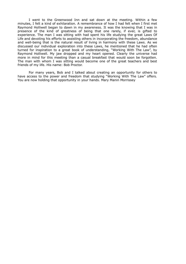I went to the Greenwood Inn and sat down at the meeting. Within a few minutes, I felt a kind of exhilaration. A remembrance of how I had felt when I first met Raymond Holliwell began to dawn in my awareness. It was the knowing that I was in presence of the kind of greatness of being that one rarely, if ever, is gifted to experience. The man I was sitting with had spent his life studying the great Laws Of Life and devoting his efforts to assisting others in incorporating the freedom, abundance and well-being that is the natural result of living in harmony with these Laws. As we discussed our individual exploration into these Laws, he mentioned that he had often turned for inspiration to a great book of understanding, "Working With The Law", by Raymond Holliwell. My jaw dropped and my heart opened. Clearly the universe had more in mind for this meeting than a casual breakfast that would soon be forgotten. The man with whom I was sitting would become one of the great teachers and best friends of my life. His name: Bob Proctor.

 For many years, Bob and I talked about creating an opportunity for others to have access to the power and freedom that studying "Working With The Law" offers. You are now holding that opportunity in your hands. Mary Manin Morrissey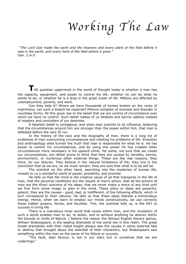<span id="page-7-0"></span>*Working The Law*

 *"The Lord God made the earth and the heavens and every plant of the field before it was in the earth, and every herb of the field before it grew."*  Gen. 2:4-5

**T**HE question uppermost in the world of thought today is whether a man has the capacity, equipment, and power to control his life; whether he can be what he wants to be; or whether he is a drop in the great ocean of life. Millions are affected by unemployment, poverty, and want.

 Can they help it? Where we have thousands of homes broken on the rocks of matrimony, can such a breach be repaired? Millions complain of sickness and disorder in countless forms. All this gives rise to the belief that we are victims of circumstance over which we have no control. Such belief makes of us fatalists and karmic addicts instead of masters and controllers of our destinies.

 A fatalistic belief is contagious, and when man submits to its influence, believing that the circumstances around him are stronger than the power within him, that man is defeated before the race IS run.

 In the history of the race and the biography of man, there is a long list of evidences of man overcoming circumstances and meeting his problems of life. Evolution and anthropology alike furnish the truth that man is responsible for what he is. He has power to control his circumstances, and by using this power he has created other circumstances more necessary in his upward climb. Yet some, not sure that we create our circumstances, are rather prone to think that they are caused by heredity, karma, environment, or numerous other external things. These are the real reasons, they think, for our failures. They believe in the natural limitations of life; they live in the conviction that as we are, so we must remain; they are sure that what is to be will be.

 The scientist on the other hand, searching into the mysteries of human life, reveals to us a wonderful world of power, possibility, and promise.

 He tells us that the mind is the creative cause of all that transpires in the life of man, that the personal conditions are the results of man's action, that all the actions of man are the direct outcome of his ideas, that we never make a move of any kind until we first form some image or plan in the mind. These plans or ideas are powerful, potent; they are the causes - good, bad, or indifferent, of the following effects, which in turn correspond to their natures. He tells us that these ideas liberate a tremendous energy. Hence, when we learn to employ our minds constructively, we use correctly these hidden powers, forces, and faculties. This, the scientist tells us, is the KEY to success in living life.

 There is a marvelous inner world that exists within man, and the revelation of such a world enables man to do, to attain, and to achieve anything he desires within the bounds or limits of Nature. I believe the reason the famous English literary genius, William Shakespeare, is the leading dramatist of the world lies in this realm. The great Greek dramatists with their noted insight always saw the causes in some external fate or destiny that brought about the downfall of their characters, but Shakespeare saw something within the man as the cause of his failure or success.

 "The fault, dear Brutus, is not in our stars but in ourselves that we are underlings."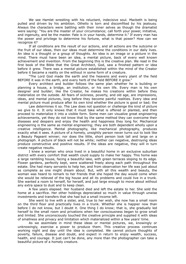We see Hamlet wrestling with his reluctant, indecisive soul. Macbeth is being pulled and driven by his ambition. Othello is torn and discomfited by his jealousy. Always the characters were battling with their inner selves as though the dramatist were saying: "You are the master of your circumstance; call forth your power, initiative, and ingenuity, and be the master. Fate is in your hands, determine it." If every man has the power and privilege to determine his fortune, what is that power? How can we recognize it?

 If all conditions are the result of our actions, and all actions are the outcome or the fruit of our ideas, then our ideas must determine the conditions in our daily lives. An idea is a thought or a group of thoughts. An idea is an image or a picture in the mind. There must have been an idea, a mental picture, back of every well known achievement and invention. From the beginning this is the creative plan. We read in the first book of the Bible that the Great Architect, God, saw a finished pattern or idea before it grew. There was a mental picture established within the mind of the Creator before it became a reality on the without in some form of a creature.

 "The Lord God made the earth and the heavens and every plant of the field BEFORE it was in the earth, and every herb of the field BEFORE it grew."

 Every architect and builder follows the same plan whether he is building or planning a house, a bridge, an institution, or his own life. Every man is his own designer and builder; like the Creator, he makes his creations within before they materialize on the outside. All fears of sickness, poverty, and old age, are impressions, ideas, and mental pictures, long before they become painful realities. Every idea and mental picture must produce after its own kind whether the picture is good or bad; the

 Law determines it so. The Law does not question or challenge the kind of picture we give to it. It only knows that it must take what is offered or planted, and then proceed to materialize it into a visible form. Some men can visualize great engineering achievements, yet they do not know that by the same method they can overcome their diseases and despairs and enjoy the health and happiness they long for. Mechanical engineering is the same as mental engineering; they are both dependent wholly upon a creative intelligence. Mental photography, like mechanical photography, produces exactly what it sees. A picture of a homely, unsightly person never turns out to look like a Beauty Pageant winner; nor does the little, short person look tall and large on a photograph. A picture of black will not be white; neither can negative, destroying ideas produce constructive and positive results. If the ideas are negative, they will in turn create negative results.

 I knew a woman who once lived in a beautiful home in an exclusive suburban district with every comfort that wealth could supply to make her happy. This home was a large rambling house, facing a beautiful lake, with green terraces sloping to its edge. Flower gardens, perfectly kept, were scattered freely along each path throughout the estate. She had many servants to help her, and from observation her life was just about as complete as one might dream about. But, with all this wealth and beauty, the woman was heard to remark to her friends that she hoped the day would come when she would be relieved of the big house and all its problems and could live in a trunk. She wanted a room to herself, for herself, and just large enough to move about without any extra space to dust and to keep clean.

 A few years elapsed. Her husband died and left the estate to her. She sold the home at a sacrifice. Her other holdings depreciated so much in value through unwise investments and transfers that she had but a small income left.

 She went to live with a sister, and, true to her wish, she now has a small room on the third floor and practically lives in a trunk. Whether she is happier now than before I do not know, but I doubt it. One thing I do know; that is, she gradually led herself to the small room and privations when her consciousness began to grow small and limited. She unconsciously touched the creative principle and supplied it with ideas of smallness and privacy and limitation which materialized within a few years' time.

 As we assimilate in mind these ideas or mental pictures, we, knowingly or unknowingly, exercise a power to produce them. This creative process continues working night and day until the idea is completed. We cannot picture thoughts of poverty, failure, disease and doubt, and expect in return to enjoy wealth, success, health, and courage. It just can't be done, any more than the photographer can take a beautiful picture of a homely creature.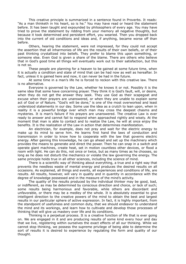This creative principle is summarized in a sentence found in Proverbs. It reads: "As a man thinketh in his heart, so is he." You may have read or heard the statement before. It has been taught and expounded by philosophers of every age. You may have tried to prove the statement by ridding from your memory all negative thoughts, but because it took determined and persistent effort, you wearied. Then you dropped back into the current of old conditions and ideas and, if anything, became worse off than before.

 Others, hearing the statement, were not impressed, for they could not accept the assertion that all inharmonies of life are the results of their own beliefs, or of their past thinking crystallized into beliefs. They prefer to blame this upon something, or someone else. Even God is given a share of the blame. There are others who believe that in God's good time all things will eventually work out to their satisfaction, but this is not so.

 These people are planning for a heaven to be gained at some future time, when it is actually a condition and state of mind that can be had now as well as hereafter. In fact, unless it is gained here and now, it can never be had in the future.

 At some time in a man's life he is forced to reckon with this creative law. There is no alternative.

 Everyone is governed by the Law, whether he knows it or not. Possibly it is the same idea that some have concerning prayer. They think it is God's fault, will, or desire, when they do not get the answer they seek. They use God as their scapegoat and excuse when their prayers are unanswered, or when they are unable to explain some act of God or of Nature. "God's will be done," is one of the most overworked and least understood statements in our day. Some use the idea as a crutch to lean upon, when in reality it is a powerful bridge over which man may cross the deepest chasms and mysteries. It is man's failure if his prayers are unanswered. The creative Law is ever ready to answer and cannot fail to respond when approached rightly and wisely. At the moment that man is able to contact and to realize the Law, he will at once enjoy the benefits. It is the realization of the Law in action that determines manifestation.

 An electrician, for example, does not pray and wait for the electric energy to make up its mind to serve him. He learns first hand the laws of conduction and transmission in order to know how to cooperate with the law that governs electric energy. After gaining this knowledge, he can go ahead and set up the machinery which provides the means to generate and direct the power. Then he can snap in a switch and operate giant machines, create heat, set in motion countless other devices, or flood a room with light. He can do this, not once or twice, but as many times as he chooses, so long as he does not disturb the mechanics or violate the law governing the energy. The same principle holds true in all other sciences, including the science of mind.

 There is a scientific way of thinking about everything, a true and a right way that prevents the needless waste of mental energy and produces the desired results on all occasions. As explained, all things and events, all experiences and conditions of life, are results. All results, however, will vary in quality and in quantity in accordance with the degree of knowledge possessed and in the measure of the mind's activity.

 The quality of the results produced by the individual thinker may be good, bad, or indifferent, as may be determined by conscious direction and choice, or lack of such; some results being harmonious and favorable, while others are discordant and unfavorable, or there may be a medley of the whole. It is absolutely essential to give intelligent direction to the creative powers of the mind to obtain the best and largest results in our particular sphere of active expression. In fact, it is highly important, from the standpoint of usefulness and common duty, that we should endeavor to understand the mind and its workings, and learn how to cultivate and develop those processes of thinking that will give us mastery over life and its conditions.

 Thinking is a perpetual process. It is a creative function of life that is ever going on. We are engaged in it and are producing results of some kind every hour and day that we live, registering within ourselves the exact effects of all our thinking. While we cannot stop thinking, we possess the supreme privilege of being able to determine the sort of results it is desired to experience by regulating the form and quality of our thought.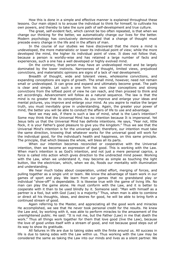How this is done in a simple and effective manner is explained throughout these lessons. Our main object is to arouse the individual to think for himself, to cultivate his own powers, and thereby to take the sure path of self-development and true culture.

 The great, self-evident fact, which cannot be too often repeated, is that when we change our thinking for the better, we automatically change our lives for the better. Modern psychology has conclusively demonstrated that a change of thought must precede every change in the life and in the affairs of man.

 In the course of our studies we have discovered that the more a mind is undeveloped, the more materialistic or lower its individual point of view; while the more developed the mind, the higher its individual point of view. It does not follow that, because a person is worldly-wise and has retained a large number of facts and experiences, such a one has a well developed or highly evolved mind.

 On the contrary, that person may have an undeveloped mind and be largely dominated by the lower instincts. Narrowness of thought, limited views, prejudiced convictions, and materialistic opinions are signs of a lack of real development.

 Breadth of thought, wide and tolerant views, wholesome convictions, and expanding conceptions are signs of growth. The small mind, however, need not remain small or undeveloped. It can grow and expand and ultimately become great. The path is clear and simple. Let such a one form his own clear conceptions and strong convictions from the loftiest point of view he can reach, and then proceed to think and act accordingly. Advancement will follow as a natural sequence. The law is that the mind is no greater that its conceptions. As you improve and enlarge your ideas and mental pictures, you improve and enlarge your mind. As you aspire to realize the larger truth, you must inevitably grow in understanding. Again, the greater your power of mind, the better you will be able to conduct the affairs of life to use and advantage.

 Next we may ask, if there is such a law of mind, what is the Law's intention? Some may think that the Universal Mind has no intention because It is impersonal. Yet Jesus tells us that the Universal Mind has definite intentions. He says, "Fear not, little flock, it is your Father's good pleasure to give you the kingdom." Thus we see that the Universal Mind's intention is for the universal good; therefore, our intention must take the same direction, knowing that whatever works for the universal good will work for the individual good, for the individual's health and happiness, on this same principle. The principle, that which blesses the whole, will bless all its parts.

 When our intention becomes reconciled or cooperative with the Universal intention, then we become an expression of that good. This is working with the Law. When man's intention is as God's intention, and not just a mere personal caprice, a force is called into action which gives direction to the undirected mind power. Working with the Law, when we understand it, may become as simple as touching the light button, like the electrician, which, when we do, floods our mentality with illumination and understanding.

 We hear much today about cooperation, united effort, merging of forces, and pulling together as a single unit or team. We know the advantage of team work in our games of sport and play. We learn from our games that no grandstand play or individual "show-off" is dependable. It is likewise true with the game of living life. No man can play the game alone. He must conform with the Law, and it is better to cooperate with it than to be used blindly by it. Someone said: "Man with himself as a partner is a fool, but with God (Law) is a majority." Thus, when man is able to combine or direct all his thoughts, ideas, and desires for good, he will be able to bring forth a continued stream of good.

 Again referring to the Master, and appreciating all the good work and miracles He accomplished, we see that He never took personal credit for the results. He knew the Law and, by working with it, was able to perform miracles to the amazement of the unenlightened public. He said: "It is not me, but the Father (Law) in me that doeth the work." Thus all things work together for them that love good (live the Law), because the love of good unites itself with a stream of good, and not because good steps out of its way to show its gratitude.

 All failures in life are due to taking sides with the finite around us. All success in life is due to taking sides with the Law within us. Thus working with the Law may be considered the same as taking the Law into our minds and lives as a silent partner. We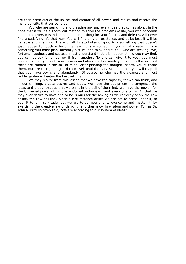are then conscious of the source and creator of all power, and realize and receive the many benefits that surround us.

 You who are searching and grasping any and every idea that comes along, in the hope that it will be a short- cut method to solve the problems of life, you who condemn and blame every misunderstood person or thing for your failures and defeats, will never find a satisfying life that way. You will find only an existence, and at its best it will be variable and changing. Life with all its attributes of good is a something that doesn't just happen to touch a fortunate few. It is a something you must create. It is a something you must plan, mentally picture, and think about. You, who are seeking love, fortune, happiness and success, must understand that it is not something you may find, you cannot buy it nor borrow it from another. No one can give it to you; you must create it within yourself. Your desires and ideas are like seeds you plant in the soil, but these are planted in the soil of mind. After planting the thought- seeds, you cultivate them, nurture them, and guard them well until the harvest time. Then you will reap all that you have sown, and abundantly. Of course he who has the cleanest and most fertile garden will enjoy the best returns.

 We may realize from this lesson that we have the capacity, for we can think, and in our thinking, create desires and ideas. We have the equipment; it comprises the ideas and thought-seeds that we plant in the soil of the mind. We have the power, for the Universal power of mind is endowed within each and every one of us. All that we may ever desire to have and to be is ours for the asking as we correctly apply the Law of life, the Law of Mind. When a circumstance arises we are not to come under it, to submit to it in servitude, but we are to surmount it, to overcome and master it, by exercising the creative law of thinking, and thus grow in wisdom and power. For, as Dr. John Murray so often said, "We are according to our system of ideas."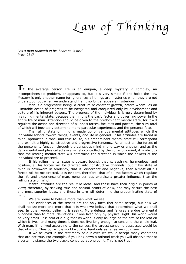<span id="page-12-0"></span>L*aw o f Thinking*

*"As a man thinketh in his heart so is he."* Prov. 23:7

To the average person life is an enigma, a deep mystery, a complex, an incomprehensible problem, or appears so, but it is very simple if one holds the key. Mystery is only another name for ignorance; all things are mysteries when they are not understood, but when we understand life, it no longer appears mysterious.

 Man is a progressive being, a creature of constant growth, before whom lies an illimitable ocean of progress to be navigated and conquered only by development and culture of his inherent powers. The progress of the individual is largely determined by his ruling mental state, because the mind is the basic factor and governing power in the entire life of man. Attention should be given to the predominant mental state, for it will regulate the action and direction of all one's forces, faculties and powers, the sum total of which will inevitably determine many particular experiences and the personal fate.

 The ruling state of mind is made up of various mental attitudes which the individual adopts toward things, events, and life in general. If his attitudes are broad in mind, optimistic in tone, and true to life, his predominant mental state will correspond and exhibit a highly constructive and progressive tendency. As almost all the forces of the personality function through the conscious mind in one way or another, and as the daily mental and physical acts are largely controlled by the conscious mind, it is obvious that the leading mental state will determine the direction in which the powers of the individual are to proceed.

 If his ruling mental state is upward bound, that is, aspiring, harmonious, and positive, all his forces will be directed into constructive channels; but if his state of mind is downward in tendency, that is, discordant and negative, then almost all his forces will be misdirected. It is evident, therefore, that of all the factors which regulate the life and experience of man, none perhaps exercise a greater influence than the ruling state of mind.

 Mental attitudes are the result of ideas, and these have their origin in points of view; therefore, by seeking true and natural points of view, one may secure the best and most superior ideas, and these in turn will determine the predominating state of mind.

We are prone to believe more than what we see.

 The evidences of the senses are the only facts that some accept, but now we shall realize more and more that it is what we believe that determines what we shall see. In other words, believing is seeing. More defeats and failures are due to mental blindness than to moral deviations. If one lived only by physical sight; his world would be very small. It is said of a bug that its world is only as large as the size of the leaf on which it lives, and many times it does not live long enough to consume the whole leaf. With man, if he lived according to the senses, the largest sense he possessed would be that of sight. Thus our whole world would extend only as far as we could see.

 If we believed in the testimony of our eyes we would accept many conditions that are not true. For example, if you look down a railroad track you will observe that at a certain distance the two tracks converge at one point. This is not true.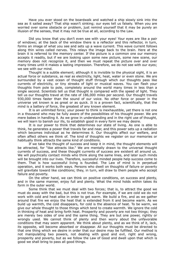Have you ever stood on the boardwalk and watched a ship slowly sink into the sea as it sailed away? That ship wasn't sinking; our eyes tell us falsely. When you are worried over some obstacle or problem, just remind yourself that it may be purely an illusion of the senses, that it may not be true at all, according to the Law.

 Did you know that you don't even see with your eyes! Your eyes are like a pair of windows; at the back of the window there is a reflector and this reflector, in turn, forms an image of what you see and sets up a wave current. This wave current follows along thin wires called nerves. This relays the image back to the brain. Here at the brain it is referred to the memory center. If the picture is a common one our memory accepts it readily, but if we are looking upon some new picture, some new scene, our memory does not recognize it, and then we must repeat the picture over and over many times until it makes a lasting impression. Therefore, we do not see with our eyes; we see with our mind.

 Thought is a subtle element; although it is invisible to the physical sight, it is an actual force or substance, as real as electricity, light, heat, water or even stone. We are surrounded by a vast ocean of thought stuff through which our thoughts pass like currents of electricity, or tiny streaks of light or musical waves. You can flash your thoughts from pole to pole, completely around the world many times in less than a single second. Scientists tell us that thought is compared with the speed of light. They tell us our thoughts travel at the rate of 186,000 miles per second. Our thought travels 930,000 times faster than the sound of our voice. No other force or power in the universe yet known is as great or as quick. It is a proven fact, scientifically, that the mind is a battery of force, the greatest of any known element.

 It is an unlimited force; your power to think is inexhaustible, yet there is not one in a thousand who may be fully aware of the possibilities of his thought power. We are mere babes in handling it. As we grow in understanding and in the right use of thought, we will learn to banish our ills, to establish good in every form we may desire.

 It is our power to think that determines our state of living. As one is able to think, he generates a power that travels far and near, and this power sets up a radiation which becomes individual as he determines it. Our thoughts affect our welfare, and often affect others we think of. The kind of thoughts we register on our memories or habitually think attracts the same kind of conditions.

 If we take the thought of success and keep it in mind, the thought elements will be attracted, for "like attracts like." We are mentally drawn to the universal thought currents of success, and these thought currents of success are existent all around us. We will psychically contact minds who think along the same lines, and later such minds will be brought into our lives. Therefore, successful minded people help success come to them. That is how successful living is founded. The Law of mind is in perpetual operation, and it works both ways. Persons who dwell on thoughts of failure or poverty will gravitate toward like conditions; they, in turn, will draw to them people who accept failure and poverty.

 On the other hand, we can think on positive conditions, on success and plenty, and in the same manner, enjoy full and plenty. What the mind holds within takes its form in the outer world.

 Some think that we must deal with two forces; that is, to attract the good we must do away with the bad, but this is not true. For example, if we are cold we do not work with cold and heat alike in order to get warm. We build a fire, and as we gather around that fire we enjoy the heat that is extended from it and become warm. As we build up warmth, the cold disappears, for cold is the absence of heat. To be warm, we give our whole thought to those things which tend to create warmth. We ignore the cold in thinking of heat and bring forth heat. Prosperity and poverty are not two things; they are merely two sides of one and the same thing. They are but one power, rightly or wrongly used. We cannot think of plenty and then worry about the unfavorable conditions that may seem apparent. We think about plenty, and as we think of it, lack, its opposite, will become absorbed or disappear. All our thoughts must be directed to that one thing which we desire in order that our desire may be fulfilled. Our method is not manipulating two powers, not dealing with good and evil, right and wrong, prosperity and poverty, but as we follow the Law of Good and dwell upon that which is good we shall bring to pass all good things.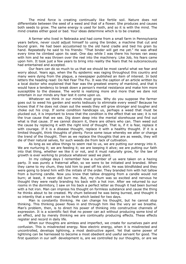The mind force is creating continually like fertile soil. Nature does not differentiate between the seed of a weed and that of a flower. She produces and causes both seeds to grow. The same energy is used for both, and so it is with the mind. The mind creates either good or bad. Your ideas determine which is to be created.

 A farmer who lived in Nebraska and had come from a small farm in Pennsylvania years before, never could adjust himself to using the binder, a machine that cut and bound grain. He had been accustomed to the old hand cradle and tied his grain by hand. Repeatedly he said to his friends: "That binder will get me yet." He was afraid every time he climbed upon its seat. One day while I was there his horses ran away with him and he was thrown over the reel into the machinery. Like Job, his fears came upon him. It took just a few years to bring into reality the fears that he subconsciously had entertained and accepted.

 Our fears can do so much to us that we should be most careful what we fear and worry about. Years ago, when the flu epidemic was raging throughout this country and many were dying from the plague, a newspaper published an item of interest. In bold letters the heading read: Do Not Fear The Flu. It was the caption of an article written by a local doctor who explained that fear was the greatest enemy of mankind, and that it would have a tendency to break down a person's mental resistance and make him more susceptible to the disease. The world is realizing more and more that we dare not entertain in our minds any fear lest it come upon us.

 Whatever we think in our minds must grow. Why do you suppose the farmer goes out to weed his garden and works tediously to eliminate every weed? Because he knows that if he does not clean out the weeds they will grow stronger and tougher and choke out his crop. If some condition handicaps us, perhaps a weed that must be plucked out, it is important to know that the condition is the effect that we see; it is not the true cause that we see. Dig down deep into the mental storehouse and find out what is that cause. If we cannot discern it, there are others who can. Then weed out the cause by replacing it with the right kind of thought. That is, if it is fear, replace it with courage. If it is a disease thought, replace it with a healthy thought. If it is a limited thought, think thoughts of plenty. Force some issue whereby we alter or change the trend of the thought. Then as we replace the thoughts that are as weeds, they will die of their natural selves, for such weeds die from lack of cultivation.

 As long as we allow things to seem real to us, we are putting our energy into it. We are nurturing it; we are feeding it; we are keeping it alive; we are putting our faith into that thing, whether we like it or not, and it must naturally grow, for the law of growth is ever working to produce whatever seed we plant.

 In my college days I remember how a number of us were taken on a hazing party. It was purely a fraternal affair, so we were to be initiated and branded. When they came to my chum, they told him to peel off his shirt. He was blindfolded and they were going to brand him with the initials of the order. They branded him with hot tallow from a burning candle. Now you know that tallow dropping from a candle would not burn; at least, it never did burn me. But, my chum was so excited and nervous he thought they were really branding his back with a hot iron. After we returned to our rooms in the dormitory, I saw on his back a perfect letter as though it had been burned with a hot iron. Man can impress his thought on formless substance and cause the thing he thinks about to be created. My chum believed he was being burned, and thought it so intently that a welt rose on his flesh which lasted for two days.

 Man is constantly thinking. He can change his thought, but he cannot stop thinking. This thinking power flows in and through him like the very air we breathe. Man's problem, then, is to direct his power of thinking into constructive channels of expression. It is a scientific fact that no power can act without producing some kind of an effect, and by merely thinking we are continually producing effects. These effects register and record in daily life.

 When our thoughts are aimless and imperfect, we create for ourselves pain and confusion. This is misdirected energy. Now electric energy, when it is misdirected and uncontrolled, develops lightning, a most destructive agent. Yet that same power of lightning can be harnessed to become a most obedient and useful servant for good. The first question in our self- development is, are we controlled by our thoughts, or are we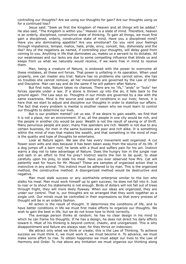controlling our thoughts? Are we using our thoughts for gain? Are our thoughts using us for a continued loss?

 Jesus said: "Seek ye first the Kingdom of Heaven and all things will be added." He also said, "The Kingdom is within you." Heaven is a state of mind. Therefore, heaven is an orderly, disciplined, constructive state of thinking. To gain all things, we must first gain a disciplined, orderly, constructive state of mind. Have you a disciplined mind? Have you any dominating appetite? Are you emotional? Do you vent your feelings through impatience, temper, malice, hate, pride, envy, conceit, lies, dishonesty and the like? Any of the negations as named, if controlling your thoughts, will delay good from coming to you. Anything in life that dominates us, makes us a servant to its dictates. All our weaknesses and our lacks are due to some compelling influence that blinds us and keeps from us what we naturally would receive, if we were free in mind to receive them.

 Man, being a creature of Nature, is endowed with the power to overcome all these mistakes, all these evil forces. That power is unfailing in its operation. When used properly, one can master any trial. Nature has no problems she cannot solve; she has no troubles she cannot remove; all her movements are governed by the Law of Order and Discipline. Man can say and do the same if he will pattern after Nature.

 But first note, Nature takes no chances. There are no "ifs," "ands" or "buts" her forces operate under a law. If a stone is thrown up into the air, it falls back to the ground again. The Law says so. Thoughts in our minds are governed by a law with the same exactness. Mind is the source and cause of conditions in our lives; hence, it is here that we start to adjust and discipline our thoughts in order to stabilize our affairs. The fact that every problem is mental is another reason why we must learn to control our thoughts to determine our lives.

 But is our problem mental? Let us see. If we desire to gain wealth, we find that it is not a place, nor an environment. If so, all the people in one city would be rich, and the people in another city would be poor. Wealth is not the result of saving or of thrift. Many penurious people are poor; many free spenders are rich. Wealth is not due to any certain business, for men in the same business are poor and rich alike. It is something within the mind of man that makes the wealth, and that something in the mind of man is the quality and type of thoughts he entertains.

 Look at Nature again. We see she has every movement well organized. A cut flower soon wilts and dies because it has been taken away from the source of its life. If a dog jumps off a barn roof, he lands with a thud and suffers pain for his act. Instinct warns a dog not to take advantage of Nature. Does the hungry lion in the jungle roar and lash in an effort to find his prey? Instinct warns the lion to be quiet, to steal carefully upon his prey, to stalk his meal. Have you ever observed how Mrs. Cat will patiently wait for hours for Mr. Mouse? These are samples of organized action that is instinctive in any animal. This instinct must be adhered to by man. This is the organized method, the constructive method. A disorganized method would be destructive and negative.

 Man must stalk success or any worthwhile enterprise similar to the lion who stalks his meal. Man must work himself up to gain success; he does not fall into it. Just to roar or to shout his statements is not enough. Birds of dollars will not fall out of trees through fright, they will more likely flyaway. When our ideas are organized, they are under our control. That is, our thoughts are so arranged that they work together as a single unit. Our minds must be controlled in their expressions so that every process of thought will be in an orderly fashion.

 All action is the result of thought. It determines the conditions of life, and to have better conditions in life we must first make efforts to organize our thoughts. We wish to gain the best in life, but we do not know how to think correctly.

 The average person thinks at random; he has no clear design in his mind to which he can frame his thoughts. If he has a design, he does not direct his daily efforts toward it. Most of his thinking is beyond control, chaotic, and unorganized. This is why disappointment and failure are always near, for they thrive on indecision.

 We attract only what we think or create; this is the Law of Thinking. To achieve success we must think it, we must work it, we must become it. To advance, we must make some effort to rise. To obtain happiness we must adapt our lives to the Law of Harmony and Order. To rise above any limitation we must organize our thinking along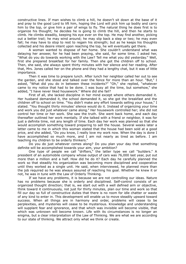constructive lines. If man wishes to climb a hill, he doesn't sit down at the base of it and pray to the good Lord to lift him, hoping the Lord will pick him up bodily and carry him to the top, or give him a pair of wings to fly. The natural thing he does first is to organize his thought; he decides he is going to climb the hill, and then he starts to climb. He climbs steadily, keeping his eye ever on the top. He may find another, picking out a better trail; he may wind around; he may slip back a step or two; he may even fall; he may have to stop to rest to regain his strength; but as he keeps his thoughts collected and his desire intent upon reaching the top, he will eventually get there.

 A woman wanted to dispose of her home. She couldn't understand what was delaying her answer, for he had been praying, she said, for some time. I asked her, "What do you do towards working with the Law? Tell me what you did yesterday." Well, first she prepared breakfast for her family. Then she got the children off to school. Then, she said, she always spent thirty minutes with her silence and her reading. After that, Mrs. Jones called her on the phone and they had a lengthy chat, but it was of little importance.

 Then it was time to prepare lunch. After lunch her neighbor called her out to see the garden, and she stood and talked over the fence for more than an hour. "But," I asked, "What did you do in between these incidents?" "Oh," she replied, "whatever came to my notice that had to be done. I was busy all the time, but somehow," she added, "I have never liked housework." Where did she fail?

 First of all, she lacked discipline in her mind except where others demanded it. Her husband demanded it, the school demanded it, so she got the breakfast and the children off to school on time. "You didn't make any effort towards selling your house," I stated. "You thought thirty minutes' silence would do it. Instead of organizing your time and work you did just whatever came along." Her housework controlled her; she did not control her time or her work. She saw the truth. She went back home, and each day thereafter outlined her work mentally. If she talked with a friend or neighbor, it was for just a definite time, not any length of time. Each day her work was planned so that she would accomplish something toward preparing to sell the house. Several weeks later a letter came to me in which this woman stated that the house had been sold at a good price, and she added, "Do you know, I really love my work now. When the day is done I have accomplished so much more, and I am not nearly as tired as before. I am teaching my children to be orderly thinkers."

 Do you do just whatever comes along? Do you plan your day that something definite will be accomplished towards your aim, your ambition?

 One type of people we call "drifters," the latter type we call "builders." A president of an automobile company whose output of cars was 76,000 last year, put out more than a million and a half. How did he do it? Each day he carefully planned the work so that steadily his organization was becoming more disciplined and cooperative until they worked as a single unit. He said, when interviewed, he planned more than the job required so he was always assured of reaching his goal. Whether he knew it or not, he was in tune with the Law of Orderly Thinking.

 If we have any problems, it is because we are not controlling our ideas. Nature has no problems because she is orderly and disciplined. Self-control consists of an organized thought direction; that is, we start out with a well defined aim or objective, think toward it continuously, not just for thirty minutes, plan our time and work so that fill our day so full of constructive duties that there is no room for idle chatter or waste of any kind to enter in. This development will enable us to move steadily upward toward success. When all things are in harmony and order, problems will cease to be perplexities, and mysteries will cease to be mysterious. Knowledge and understanding will supplant fear and ignorance, and that which was invisible will become visible, that which was unknown will become known. Life with its circumstances is no longer an enigma, but a clear interpretation of the Law of Thinking. We are what we are according to our state of thinking. We attract only what we think or create.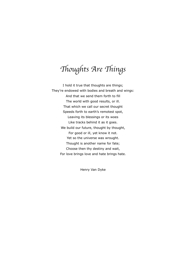#### $T$ *houghts Are Things*

I hold it true that thoughts are things; They're endowed with bodies and breath and wings: And that we send them forth to fill The world with good results, or ill. That which we call our secret thought Speeds forth to earth's remotest spot, Leaving its blessings or its woes Like tracks behind it as it goes. We build our future, thought by thought, For good or ill, yet know it not. Yet so the universe was wrought. Thought is another name for fate; Choose then thy destiny and wait, For love brings love and hate brings hate.

Henry Van Dyke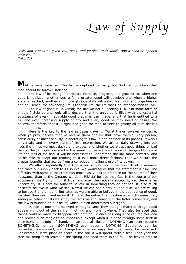<span id="page-18-0"></span>L*aw o f Supply*

*"Ask, and it shall be given you; seek, and ye shall find; knock, and it shall be opened unto you."* Matt. 7:7

**M**AN is never satisfied. This fact is deplored by many, but God did not intend that man should be forever satisfied.

 The law of his being is perpetual increase, progress, and growth; so, when one good is realized, another desire for a greater good will develop; and when a higher state is reached, another and more glorious state will unfold his vision and urge him on and on. Hence, the advancing life is the true life, the life that God intended man to live.

 The law of good is universal; for, are we not all seeking GOOD in some form or another? Science and logic alike declare that the universe is filled with the essential substance of every imaginable good that man can image, and that he is entitled to a full and ever increasing supply of any and every good he may need or desire. We believe, therefore, that it is right and good for man to seek to gratify all pure desires and ambitions.

 Here is the key to the law as Jesus gave it: "What things so-ever ye desire, when ye pray, believe that ye receive them and ye shall have them." Every person, consciously or unconsciously, is operating this law in one or more of its phases. It works universally and on every plane of life's expression. We are all daily drawing into our lives the things we most desire and expect, and whether we attract good things or bad things, the principle operated is the same. But as we want more of the good things in life and less of the bad, it will be necessary to understand the law more perfectly, and so be able to adapt our thinking to it in a more direct fashion. Thus we secure the greater benefits that accrue from a conscious, intelligent use of its power.

 We affirm repeatedly that God is our supply, and if we would think a moment and trace our supply back to its source, we would agree that the statement is true. The difficulty with some is that they can more easily look to creature for the source of their substance than to the Creator. We don't REALLY believe that God is the source of our substance. We try to think it true, and may theoretically accept it, yet there is an uncertainty. It is hard for some to believe in something they do not see. It is so much easier to believe in what we see. Now if we can see plenty all about us, we are willing to believe it and enjoy it. But later, as we are able to believe in the abundance of good, we shall then see it and enjoy it. Thus at the outset the question is, which comes first, seeing or believing? As we study the facts we shall learn that the latter comes first, and the law is founded on our belief, which in turn determines our sight.

 People at one time believed in magic. Once they thought material things could appear right out of the air from nothing and from nowhere. They also believed that things could be made to disappear into nothing. Science has long since refuted this idea and proven such magic to be impossible, except when it is done through some trick in chemistry, a sleight of hand, or an optical illusion. NOTHING can ever become SOMETHING, nor can SOMETHING ever become NOTHING. Substance can be converted, transmuted, and changed in a million ways, but it can never be destroyed. For example, if we plant an acorn in the soil, it will sprout forth a tree. Each year the tree will bring forth leaves in the spring and shed them in the fall. The leaves drop to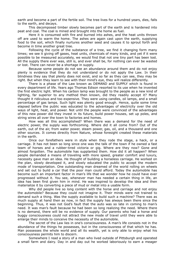earth and become a part of the fertile soil. The tree lives for a hundred years, dies, falls to the earth, and decays.

 This decomposed timber slowly becomes part of the earth and is hardened into peat and coal. The coal is mined and brought into the home as fuel.

 Here it is consumed with fire and burned into ashes, and the heat units thrown off are used to warm the home. The ashes are again cast upon the earth, supplying food to the soil, which finally nurtures another seed and causes it to sprout forth and become in time another great tree.

 Following the cycle of the substance of a tree, we find it changing form many times; we see it giving off gases, heat units, chemicals of many kinds, and yet if it were possible to be measured accurately, we would find that not one tiny part has been lost. All the supply there ever was, still is, and ever shall be, for nothing can ever be wasted or lost. There can never be a shortage in supply.

 Because some people do not see an abundance around them and do not enjoy plenty is evidence that they do not understand or do not apply the Law. In their blindness they say that plenty does not exist, and so far as they can see, they may be right. But when they learn to see with their mind's eye, they will realize differently.

 There is a phase of the Law known as DEMAND and SUPPLY which is found in every department of life. Years ago Thomas Edison resorted to its use when he invented the first electric light. When his carbon lamp was brought to the people as a new kind of lighting, far superior to any method then known, did they readily accept it? Many thought it ridiculous and too expensive. They were using candles, oil lamps, and a small percentage of gas lamps. Such light was plenty good enough. Hence, quite some time elapsed before the public was educated to the advantages of electricity over the old ways of light, heat, and power. Not until the people were convinced of the advantages of this new power did they invest in its future, build power houses, set up poles, and string wires all over the town to factories and homes.

 How was all this accomplished? When there was a demand for the need of electric power, the supply was forthcoming. Where did it all come from? Out of the earth, out of the air, from water power, steam power, gas, oil, and a thousand and one other sources. It comes directly from Nature, whose foresight created these materials in the earth.

 Once our forefathers were in style when they rode the stage, a hack, or a carriage. It has not been so long since one was the talk of the town if he owned a fast team of horses and a rubber-tired victoria or gig. Where are they now? Gone and almost forgotten. The automobile has supplanted them. How did it all happen? When people demanded a means of traveling with more speed, greater comfort and luxury, necessity gave man an idea. He thought of building a horseless carriage. He worked on the plan, slowly developed it, and slowly educated the public to accept the modern mode of transportation. One outstanding man dreamed of the world rolling on wheels and set out to build a car that the poor man could afford. Today the automobile has become such an important factor in man's life that we wonder how he could have ever progressed without it. You see, whenever man has needed a certain thing in life, an idea has been first given him in mind. He was inspired to develop the idea and then materialize it by converting a piece of mud or metal into a usable form.

 Why did people live so long content with the horse and carriage and not enjoy the automobile? Because they could not imagine it. Their minds were not trained to demand such a thing. Was the supply available to build such a machine? There was as much supply at hand then as now, in fact the supply has always been there since the beginning. Thus, it was not God's fault that the auto was so late in coming to man's need. It was man's fault because he had been so long realizing the need. Where there is no demand, there will be no evidence of supply. Our parents who had a horse and buggy consciousness could not attract the new mode of travel until they were able to enlarge their minds to conceive the necessity of the automobile.

 The secret of the Law lies in one's consciousness. A man's life consists not in the abundance of the things he possesses, but in the consciousness of that which he has. Man possesses the whole world and all its wealth, yet is only able to enjoy what his consciousness permits him to discern.

 Somewhere I read a story of a man who lived outside of Pittsburgh and operated a small farm and dairy. Day in and day out he worked laboriously to earn a meager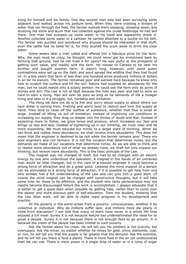living for himself and his family. One day several men who had been surveying some adjacent land walked across his pasture land. When they were crossing a stream of water that ran through the field, the farmer noticed them stopping, stooping down, and studying the slime and scum that had collected against the crude footbridge he had laid there. One man had scooped up some water in his hand and apparently drank it. Another collected some water in a canteen he carried attached to a buckle on his belt. The farmer was puzzled and wondered why anyone should be interested in that stuff; even the cattle had no taste for it, for they pushed the scum aside to drink the clear water.

 Some weeks later a man called and offered him a fabulous price for the farm. Why, the man must be crazy, he thought. He could never get his investment back by farming that ground, had he not tried it for years? He was joyful at the prospects of getting such value, and readily sold the farm. He moved to Canada to be near his brother and bought another farm. It wasn't long, however, until some queer contraptions were set up on the field, and word spread like wildfire that they had found oil. In a few years that farm of less than one hundred acres produced millions of dollars in oil for its owners. The farmer remained poor and worked hard because he knew only how to scratch the surface and till the soil. Nature had supplied an abundance for the man, but he could realize only a scanty portion. He could see the farm only as acres of stones and dirt. The Law is not at fault because the man was poor and had to work so hard to earn a living. Man will ever be poor as long as he demands of life a meager living and sees in it a struggle, toil, hardship and limitation.

 The thing we dare not do is to fret and worry about supply or about where our next dollar is coming from. Fretting and worry tend to restrict and limit the supply at hand. They tend to close off the outflow of substance, whether that flow is small or large. Instead of lifting us out of limitation, instead of improving our conditions or increasing our supply, they drag us deeper into the throes of doubt and fear. Instead of expecting more to follow, we grow tense and anxious, which increases our fear and brings us less and less. Instead of tightening up in our thinking, we must relax and be more expanding. We must educate our minds to a larger state of thinking. When we can think and realize more abundance, we shall receive more abundantly. This does not mean that the engineer is destined to be rich while the farmer remains poor. There are poor engineers and rich farmers. It is not the vocation that determines riches, but the demands we make of our vocations that determine riches. As we are able to think and to realize more abundance out of what we already have, we shall not only expand our thinking, but receive more abundantly. This is the basic principle of the Law.

 The magnet was not charged of itself, but had to be charged with an electric energy by one who understood the operation. A magnet in the hands of an untrained man would be little changed, but in the care of a trained engineer it could become a strong force of attraction and do a great good. Likewise the mind magnet of a person can be stimulated to a strong force of attraction, if it is possible to get help from one who already has a full understanding of the Law and can give him a good start. Of course the mind magnet can be charged with constructive thoughts, but it will take some time for these to be effective, and the student who lacks perseverance may too readily become discouraged before the work is accomplished. I always advocate that it is better to get a good start when possible by getting help, rather than to come over the slower and more arduous path of self-education. Then the student, knowing that the Law does work, will be able to make rapid progress in his development and practice.

 All the poverty in the world arises from a poverty- consciousness, whether it be collective or individual. Why do millions suffer lack, and millions more die yearly in India from starvation? I am told that many of them have never in a whole life time enjoyed a full meal. Surely it is not because Nature has underestimated the need for so great a people. Surely it is not because there is not enough food to go around. It is because the vision of the people has been limited to such poverty.

 Ask the farmer about his crops. He will tell you his problem is not scarcity, but oversupply. Ask the miner, no matter whether he mines for gold, silver, diamonds, coal, or iron, he will tell you that the supply is far greater that the demand. Ask the scientist, and he will tell you there is food a plenty. There is more food in the air yet undiscovered than we can use. There is more power in a single drop of water or in a lump of sugar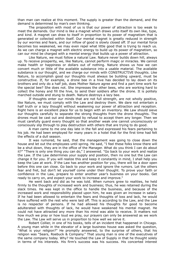than man can realize at this moment. The supply is greater than the demand, and the demand is determined by man's own thinking.

 The proposition with most of us is that our power of attraction is too weak to meet the demands. Our mind is like a magnet which draws unto itself its own like, type, and kind. A magnet can draw to itself in proportion to its power of magnetism that is generated or collected within itself. Our mental magnet is greatly reduced in strength by our worries and fears, and our inflow of good is slowly closed off. If our mental force becomes too weakened, we may even repel what little good that is trying to reach us. As we can charge a magnet with electric energy to build up its power of magnetism, so can our mind be charged with a mental energy that builds up a power of attraction.

 Like Nature, we must follow a natural Law. Nature never builds down hill, always up. To receive prosperity, we, like Nature, cannot perform magic or miracles. We cannot make health or happiness or dollars out of nothing. Nature shows us how we can convert much or little of the available substance into a usable material. The available substance is our thought, and we charge our minds with CONSTRUCTIVE thoughts. Like Nature, to accomplish good our thoughts must always be building upward, must be constructive. If, for example, a drone bee in a hive has decided to lay down on its brothers and only do a half job, does Mother Nature agree and find a part time work for the special bee? She does not. She impresses the other bees, who are working hard to collect the honey and fill the hive, to send their soldiers after the drone. It is politely marched outside and stung to death. Nature destroys a lazy bee.

 If thoughts enter our minds that are not full strength, are not wholly positive, like Nature, we must comply with the Law and destroy them. We dare not entertain a half truth or a lazy thought without weakening our power of attraction and reception. Right here is an excellent place for us to begin with an inventory. We Law should sieve our thoughts carefully to separate the strong thoughts from the drone thoughts. The drones must be cast out and destroyed by refusal to accept them any longer. Then we must carefully guard every thought so that another weak one cannot unconsciously or consciously slip through to play destruction with others that are trying to do good.

 A man came to me one day late in the fall and expressed his fears pertaining to his job. He had been employed for many years in a hotel that for the first time had felt the effects of a dull season.

 It was rumored, he said, that the management was going to close down the house and let out the employees until spring. He said, "I feel these folks know there will be a shut down, they are in the office of the Manager. What do you think I can do about it?" "There is only one thing you can do," I answered. "Go back to your work and realize the Law. If the Law determines your supply and position, then no one but the Law can change it for you. If you will realize this and keep it constantly in mind, I shall help you keep the Law at work. If the Law has another position for you, there will be a door open before this one can close. Go back to your work and ignore the rumors. Let the others fear and fret, but don't let yourself come under their thought. To prove your faith or confidence in the Law, prepare to enter another year's business on your books. Get ready to carry on, and expect your work to increase and improve."

 He went back and did as he was told. When rumors grew to realities, he held firmly to the thoughts of increased work and business; thus, he was retained during the slack times. He was kept in the office to handle the business, and because of the increased work and responsibility placed upon him, he was given an increase in salary. If he had been allowed to entertain the fears and thoughts of loss and lack, he would have suffered with the rest who were laid off. This is according to the Law, and the Law is no respecter of persons. If he had allowed his thoughts for good to become adulterated with thoughts of lack, he would have weakened his mental magnet. He could not have attracted any more than his mind was able to receive. It matters not how much we pray or how loud we pray, our prayers can only be answered as we work the Law. The Law will serve us in proportion to how well we serve it.

 Robert Collier, in one of his books, tells of an incident that happened in Chicago. A young man while in the elevator of a large business house was asked the question, "What is your religion?" He promptly answered, to the surprise of others, that his religion was "Sears, Roebuck & Company." That young man is one of the executives of the same company today. Why? He touched the Law of Supply in that he thought solely in terms of his interests. His firm's success was his success. His concerted interest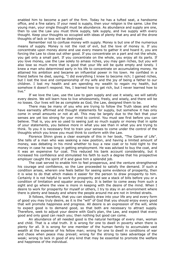enabled him to become a part of the firm. Today he has a tufted seat, a handsome office, and a fine salary. If your need is supply, then your religion is the same. Like the young man, your single thought must be abundance. As abundance and supply are one, then to use the Law you must think supply, talk supply, and live supply with every thought. Keep your thoughts so occupied with ideas of plenty that any and all the drone thoughts of lack or loss will be destroyed.

 Remember not to confuse money with supply. Money is but one of the numerous means of supply. Money is not the root of evil, but the love of money is. If you concentrate upon money alone and use every means to gather it and hoard it, you are forcing the Law to close out other good. If you concentrate on a part and not the whole, you get only a small part. If you concentrate on the whole, you enjoy all its parts. If you love money, use the Law solely to amass riches, you may gain riches, but you will also lose so much more that is good that your life will be quite empty and lonely. I knew a man who determined early in his life to concentrate on accumulating money. He attained his ambition and became an influential power in his town. He confided in a friend before he died, saying, "I did everything I knew to become rich; I gained riches, but I lost the love and companionship of my wife and the joy of being a father to our children. I lost my health and am spending my wealth to regain my health, but somehow it doesn't respond. Yes, I learned how to get rich, but I never learned how to live."

 If we love the Law, use the Law to gain supply and use it wisely, we will satisfy every desire. We will learn how to live wholesomely, freely, and wisely, and there will be no losses. Our lives will be as complete as God, the Law, designed them to be.

 There may be many of you who are trying to follow the Truth ideas and who have earnestly affirmed and thought statements for supply, but somehow it has only come in small amounts or not at all. This may be largely due to the fact that your senses are yet too strong for your mind to control. You must see first before you can believe. That is, you are so used to seeing just so much supply or money that in spite of your statements, you believe more in what you see than in what you are trying to think. To you it is necessary first to train your senses to come under the control of the thoughts which you know you must think to conform with the Law.

 Florence Shinn gives a clear example of this in her book, "The Game of Life". She tells of a man who was seeking a new position, and having a limited amount of money, was debating in his mind whether to buy a new coat or to hold tight to the money in case he was long in getting employment. He was advised to buy the coat, and it was an expensive fur coat. This reduced his bank account considerably, but it increased his confidence and stimulated his faith to such a degree that his prospective employer caught the spirit of it and gave him a splendid job.

 The coat served to enable him to feel prosperous, and the venture strengthened his courage and confidence, so the Law proceeded to satisfy the demand. If such a condition arises, wherein one feels better for seeing some evidence of prosperity, then it is wise to do that which makes it easier for the person to draw prosperity to him. Certainly it is not helpful to work for prosperity and see a stack of bills before you or a condition of limitation and squalor around you. It is better to come away from such a sight and go where the view is more in keeping with the desire of the mind. When I desire to work for prosperity for myself or others, I try to stay in an environment where there is plenty and beauty and where the people around me are not in limited straits.

 It follows, therefore, that you can steadily draw into your life any and every form of good you may truly desire, as it is the "will" of God that you should enjoy every good that will promote happiness and progress. All desire is an expression of the will, while to expect good is to demand good, so that both are necessary to attract supply. Therefore, seek to adjust your desire with God's plan, the Law, and expect that every good and only good can reach you; then nothing but good can come.

 An abundance of all needed good is the natural heritage of every man, woman and child. That is a vital truth. It is wrong for one to dwell in poverty when there is plenty for all. It is wrong for one member of the human family to accumulate vast wealth at the expense of his fellow man; wrong for one to dwell in conditions of war and chaos when peace may prevail; wrong for the strong to take advantage of the weak; wrong to lack in good of any kind that may be essential to promote the welfare and happiness of the individual.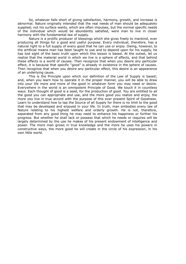So, whatever falls short of giving satisfaction, harmony, growth, and increase is abnormal. Nature originally intended that the real needs of man should be adequately supplied; not his surface wants, which are often impulses, but the normal specific needs of the individual which would be abundantly satisfied, were man to live in closer harmony with the fundamental law of supply.

 Nature is a prolific producer of blessings which she gives freely to mankind, ever producing all things for a good and useful purpose. Every individual, therefore, has a natural right to a full supply of every good that he can use or enjoy. Owing, however, to the artificial means man has been taught to use and to depend upon for his supply, he has lost sight of the basic truth upon which this lesson is based. At the outset, let us realize that the material world in which we live is a sphere of effects, and that behind these effects is a world of causes. Then recognize that when you desire any particular effect, it is because that specific "good" is already in existence in the sphere of causes. Then recognize that when you desire any particular effect, this desire is an appearance of an underlying cause.

 This is the Principle upon which our definition of the Law of Supply is based; and, when you learn how to operate it in the proper manner, you will be able to draw into your life more and more of the good in whatever form you may need or desire. Everywhere in the world is an omnipotent Principle of Good. We touch it in countless ways. Each thought of good is a seed, for the production of good. You are entitled to all the good you can appropriate and use, and the more good you realize and enjoy, the more you live in true accord with the purpose of this ever present Spirit of Goodness. Learn to understand how to tap the Source of all Supply for there is no limit to the good that may be developed and enjoyed in your life. In truth, man embodies every law of Nature relating to his highest welfare and orderly growth. He is not, therefore, separated from any good thing he may need to enhance his happiness or further his progress. But whether he shall lack or possess that which he needs or requires will be largely determined by the use he makes of his present endowment of intelligence and power. The more man grows in true knowledge and the more he uses his powers in constructive ways, the more good he will create in the circle of his expression, in his own little world.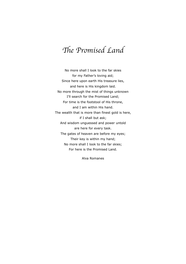#### The Promised Land

No more shall I look to the far skies for my Father's loving aid; Since here upon earth His treasure lies, and here is His kingdom laid. No more through the mist of things unknown I'll search for the Promised Land; For time is the footstool of His throne, and I am within His hand. The wealth that is more than finest gold is here, if I shall but ask; And wisdom unguessed and power untold are here for every task. The gates of heaven are before my eyes; Their key is within my hand; No more shall I look to the far skies; For here is the Promised Land.

Alva Romanes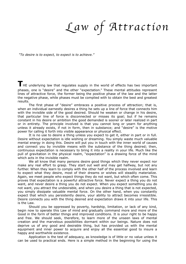### <span id="page-25-0"></span>L*aw o f A t tra c tion*

 *"To desire is to expect, to expect is to achieve."* 

**T**HE underlying law that regulates supply in the world of effects has two important phases, one is "desire" and the other "expectation." These mental attitudes represent lines of attractive force, the former being the positive phase of the law and the latter the negative phase, while phases must be complied with to obtain the best and greatest results.

 The first phase of "desire" embraces a positive process of attraction; that is, when an individual earnestly desires a thing he sets up a line of force that connects him with the invisible side of the good desired. Should he weaken or change in his desire, that particular line of force is disconnected or misses its goal; but if he remains constant in his desire or ambition the good demanded is sooner or later realized in part or in entirety. The principle involved is that you cannot long or yearn for anything unless it already exists, if not in form, then in substance; and "desire" is the motive power for calling it forth into visible appearance or physical effect.

 It is no use to desire a thing unless you expect to get it, either in part or in full. Desire without expectation is idle wishing or dreaming. You simply waste much valuable mental energy in doing this. Desire will put you in touch with the inner world of causes and connect you by invisible means with the substance of the thing desired; then, continuous expectation is necessary to bring it into a reality in your life. Much like the pull of gravitation in the physical realm, "expectation" is a drawing force of the mind which acts in the invisible realm.

 We all know that many persons desire good things which they never expect nor make any real effort to grasp. They start out well and may get halfway, but not any further. When they learn to comply with the other half of the process involved and learn to expect what they desire, most of their dreams or wishes will steadily materialize. Again, we meet people who expect things they do not want, but which often come. This proves that expectation is a powerful attractive force. Never expect a thing you do not want, and never desire a thing you do not expect. When you expect something you do not want, you attract the undesirable, and when you desire a thing that is not expected, you simply dissipate valuable mental force. On the other hand, when you constantly expect that which you persistently desire, your ability to attract becomes irresistible. Desire connects you with the thing desired and expectation draws it into your life. This is the Law.

 Should you be oppressed by poverty, hardship, limitation, or lack of any kind, begin now to operate this Law of mind and gradually command more and more of the Good in the form of better things and improved conditions. It is your right to be happy and free. We should seek, therefore, to learn more of the unseen laws of mental creation and the marvelous possibilities dormant within our beings. Nature does not deprive us of any good and desirable thing, but has provided us with the mental equipment and inner power to acquire and enjoy all the essential good to insure a happy and worthwhile existence.

 Application is the test of adequacy, as knowledge is of little or no value unless it can be used to practical ends. Here is a simple method in the beginning for using the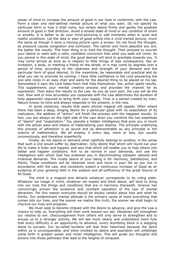power of mind to increase the amount of good in our lives in conformity with the Law. Form a clear and well-defined mental picture of what you want. Do not specify its particular form or how it shall come, but simply desire firmly and gently the greatest amount of good in that direction. Avoid a tensed state of mind or any condition of strain or anxiety. It is better to do your mind-picturing in odd moments when in quiet and restful conditions. Let the idea or plan of good unfold into a vivid mental picture, much the same as though it were a moving picture upon a screen. Do not force the thought, as pressure causes congestion and confusion. The calmer and more peaceful you are, the better the results. The main thing is to hold the thought. Then proceed to nourish your desire or want with a calm, confident conviction that what you seek will come. As you persist in this state of mind, the good desired will tend to gravitate towards you. It may come almost at once as in respect to little things of less consequence, like an invitation, a book, or meeting a friend on the street, or it may come by degrees over a period of time, according to the clearness and strength of your demand and the particular form of good desired. In the meantime, be reasonable and practical and do what you can to promote its coming. I have little confidence in the Lord answering the one who rocks in an easy chair and waits for the desired thing to be placed on his lap. Somewhere it says the Lord helps them that help themselves. Yes, action spells results. This supplements your mental creative process and provides the channel for its expression. Then leave the results to the Law. As you do your part, the Law will do the rest. How well or how accurately you cooperate with the Law determines the duration of time apparently required to bring forth your supply. Time is a period created by man; Nature knows no time and always responds in the present, in the now.

 In some instances, results that seem almost magical will appear. Often where there has been a deep, longing desire for a particular good with no expectation of its realization, the addition of "action" will finish the process with the happiest results. In fact, you are always on the right side of the Law when you combine the two essentials of "desire" and "expectation." You operate a hidden intelligence that puts you in touch with the actual ways and means of materializing your desires. The principle underlying this process of attraction is as sound and as demonstrable as any principle in the science of mathematics. We all employ it every day, more or less, but usually unconsciously, and therefore imperfectly.

 Finally, do not desire or demand what rightfully belongs to another, in the sense that such a one would suffer by deprivation. Only desire that which will round out your life to make it fuller and happier, and also that which will enable you to help others into better and happier conditions. Aim to be normal in your demands, and use the intelligence with which God has endowed you in discriminating between rational and irrational demands. The innate desire of your being is for Harmony, Satisfaction, and Plenty. These conditions will be obtained more and more in your life as you live in accordance with the Law, and constantly expect a continuous increase of Good as an evidence of your growing faith in the wisdom and all-sufficiency of the great Source of All Good.

 The mind is a magnet and attracts whatever corresponds to its ruling state. Whatever we image in mind, whatever we expect and think about, will tend to bring into our lives the things and conditions that are in harmony therewith. Science has convincingly proven the existence and constant operation of the Law of mental attraction. For this reason everyone should be doubly careful about how and what he thinks. Our predominant mental attitude is the primary cause of most everything that comes into our lives, and the sooner we realize this truth, the sooner we shall begin to improve our lives and progress.

 We must seek to become imbued with the desire to advance, and give the Law a chance to help us. Everything will then work toward our aid. Obstacles will strengthen our resolve to win. Discouragement from others will only serve to strengthen and to arouse us to a stronger activity. We will see more clearly and understand more fully that every difficulty is an opportunity to advance, every stumbling block is a stepping stone to success. Our so-called burdens will lose their heaviness because the Spirit within us is unconquerable, and when invoked by desire and aspiration will unfailingly come forth in greater power and richer intelligence. This will guide our thoughts and actions into those pathways that lead to the heights of conquest.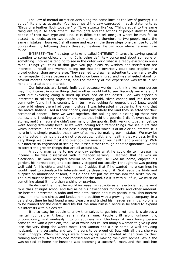The Law of mental attraction acts along the same lines as the law of gravity; it is as definite and as accurate. You have heard the Law expressed in such statements as "Birds of a feather flock together" or "Like attracts like" or, "Things equal to the same thing are equal to each other." The thoughts and the actions of people draw to them people of their own type and kind. It is difficult to tell one just where he may fail to attract his needs, as no two people think alike and therefore no two people make the same mistakes. However, I shall name and explain the three steps one can use to build up realities. By following closely these suggestions, he can note where he may have failed:

 INTEREST—The first step to take is called INTEREST. Interest is paying special attention to some object or thing. It is being definitely concerned about someone or something. Interest is tending to see in the outer world what is already existent in one's mind. Things you think of that give you joy, pleasure, wisdom and satisfaction are interests. I recall one woman telling me that she invariably could see cripples in a crowd quicker than anyone else. They seemed to draw her attention to them and excite her sympathy. It was because she had once been injured and was wheeled about for several months packed in a cast, and the memory of the experience was fresh in her mind and created the interest.

 Our interests are largely individual because we do not think alike; one person may find interest in some things that another would fail to see. Recently my wife and I went out exploring along a dried up river bed on the desert. She was especially interested in collecting bright stones containing gold, silver, copper, and iron that are commonly found in this country. I, in turn, was looking for gourds that I knew would grow wild where there had been moisture. I was interested in gathering the kind that the native Indians used in their hogans, and particularly the kind they selected for their ceremonial dances. There we were together, she walking about picking up these rare stones, and I looking around for the vines that held the gourds. I didn't even see the stones, and I am sure she didn't see many of the gourds. Both walking together, yet we were seeing differently because we were looking for different things. We see in life that which interests us the most and pass blindly by that which is of little or no interest. It is here in this simple practice that many of us may be making our mistakes. We may be so interested in things that are not prosperous, joyful, and healthy that we pass by the very things we desire most and overlook the means of our health and prosperity. With our interest so engrossed in seeing the lesser, either through habit or ignorance, we fail to attract the greater things that are all around us.

 A young man came to me one day asking what he could do to increase his income - he was dissatisfied with a meager earning. I learned that he was an electrician. His work occupied several hours a day. He liked his home, enjoyed his garden, his newspapers, and occasionally stepped out socially. I thought he was getting well paid for his efforts and told him so. I added that if he wanted more earnings he would need to stimulate his interests and be deserving of it. God feeds the birds and supplies an abundance of food, but He does not put the worms into the bird's mouth. The bird must at least go out and search for the food. So it is with all of us, we must do something about it more than wishing or praying.

 He decided then that he would increase his capacity as an electrician, so he went to a class at night school and laid aside his newspapers for books and other material. He became interested in radio and was enthusiastic about its possibilities. This interest drew him into new circles and landed him a position with a growing radio company. In a very short time he had found a new pleasure and tripled his meager earnings. No one is to be blamed for the dissatisfied life but the man himself, because he failed to expand his interests with his desires.

 It is so easy for people to allow themselves to get into a rut, and it is always a mental rut before it becomes a material one. People drift along unknowingly, unconsciously, and aimlessly into unhappiness and blindness. A very lovely person came to me with a problem, the like of which has caused many a woman to give up and lose the very thing she wants most. This woman had a nice home, a well-providing husband, many servants, and two fine sons to be proud of. But, with all that, she was most unhappy. When her boys were growing up she devoted all her time to their training and care. Now they had married and were making their own homes. While she was so tied at home her husband was becoming a successful man, and this took him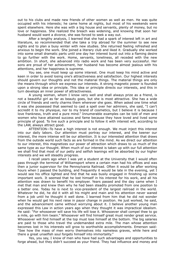out to his clubs and made new friends of other women as well as men. He was quite occupied with his interests; he came home at nights, but most of his weekends were spent elsewhere. Here she was with a big house and servants, plenty of money, but no love or happiness. She realized the breach was widening, and knowing that soon her husband would want a divorce, she was forced to seek a way out.

 After a lengthy analysis, I learned that she had a spark of interest left in art and literature, so recommended that she take a trip abroad for the summer to see new sights and to plan a busy winter with new studies. She returned feeling refreshed and anxious to begin the work. She joined a literary club and liked it. Gradually she worked into some small dramatic parts until one day her interest burst out into a flaming desire to go further with the work. Home, servants, loneliness, all receded with the new ambition. In short, she advanced into radio work and has been very successful. Her sons are proud of her achievement, her husband has become almost jealous with his attentions, and her happiness is supreme.

 You see, one must keep up some interest. One must keep his mind active and keen in order to avoid losing one's attractiveness and satisfaction. Our highest interests should govern our thoughts and not the material things. The material things are only the means through which we express our interests. A strong magnetic power is founded upon a strong idea or principle. This idea or principle directs our interests, and this in turn develops an inner power of attractiveness.

 A young woman, whom I know very well and shall always prize as a friend, is not a beautiful girl as far as beauty goes, but she is most attractive. She has a wide circle of friends and verily charms them wherever she goes. When asked one time what it was she possessed that seemed to cast a spell over her admirers, she said, "I can't accredit it to my physique, nor to my brand of cosmetics, but I believe it is because I love frankness, truth and a pure mind." Innumerable examples can be told of men and women who have attained success and fame because they have loved and lived some principle of good. To live such a principle and to follow it with interest will, according to the LAW, always attract good.

 ATTENTION—To have a high interest is not enough. We must inject this interest into our daily labors. Our attention must portray our interest, and the keener our interest, the more intense will be our attention. It is our interested attention that draws from the outside world such facts as are formed in the mind. As we direct our attention to our interest, this magnetizes our power of attraction which draws to us much of the same type as our thought. When much of our interest is taken up with our full attention we shall find that most of our petty and selfish leanings will be absorbed by our higher interests and we will steadily progress.

 I recall years ago when I was yet a student at the University that I would often pass through the terminal of Williamsport where a certain man had his offices and was then a junior supervisor for the Pennsylvania Railroad. Often it would be after working hours when I passed the building, and frequently it would be late in the evening, yet I would see his office lighted and find that he was busily engaged in finishing up some important work. It seemed that he lost himself in his interest for his work, and all his attention was drawn to benefit his employer. Years passed and the day came when I met that man and knew then why he had been steadily promoted from one position to a better one. Today he is next to vice-president of the largest railroad in the world. Whatever he did, he did it with all his might and main and his attention never waned from a job until he thought it well done. I learned from him that he did not wonder when he would get his next raise in payor change in position. He just worked, he said, and the advancement came without worrying about it. I believe another young man expressed this Law in action years ago when they thought it was impractical idealism. He said: "For whosoever will save his life will lose it. Whosoever shall compel thee to go a mile, go with him twain." Whosoever will find himself great must render great service. Whosoever will find himself at the top must lose himself at the bottom. The big salaries are paid to those who travel the undemanded extra mile. The man whose attention becomes lost in his interests will grow to worthwhile accomplishments. Emerson said: "See how the mass of men worry themselves into nameless graves, while here and there a great unselfish soul forgets himself into immortality."

 Yes, you say, I know of men who have had such advantages and opportunities to forge ahead, but they didn't succeed as your friend. They had influence and money and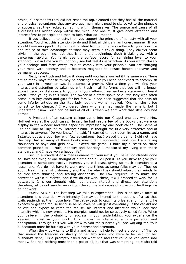brains, but somehow they did not reach the top. Granted that they had all the material and physical advantages that any average man might need to skyrocket to the pinnacle of success, yet they lacked something within themselves. The source and cause of all successes lies hidden deep within the mind, and one must give one's attention and interest first to principle and then to fact. What do I mean?

 If you believe in honesty, then you support the principle of honesty with all your attention. You direct this attention to do and think all things in an honest manner. If you should have an opportunity to cheat or steal from another you adhere to your principle and refuse to take advantage of what may seem a trivial thing. They always seem trivial in the beginning, but that is only the beginning. Such trivials grow with a cancerous rapidity. You rarely see the surface record for remaining loyal to your standard, but in time you will not only see but feel its satisfaction. As you watch closely your dealings and force every issue to comply with your principle, you are charging your mind with honesty and it becomes magnetic to attract honest endeavor and permanent success.

 Next, take truth and follow it along until you have worked it the same way. There are so many ways that truth may be challenged that you need not expect to accomplish your work in a week or two. It becomes a growth. After a time you will find your interest and attention so taken up with truth in all its forms that you will no longer attract deceit or dishonesty to you or in your affairs. I remember a statement I heard when I was young in this work. The owner of a store spoke of a little lady who often came in to buy cards and gifts for her family. It had been suggested that she pass off some inferior articles on the little lady, but the woman replied, "Oh, no, she is too honest to be cheated." I wondered then why she had made the remark, but I understand it now. Such can be said of all of us when we earn what that little lady had earned.

 A President of an eastern college came into our Chapel one day while Mrs. Holliwell was at the book cases. He said he had read a few of the books that were on display in the window and was especially impressed by one book called "The Game of Life and How to Play It," by Florence Shinn. He thought the title very attractive and of interest to anyone. "Do you know," he said, "I learned to look upon life as a game, and I started out as a poor boy with few advantages, but I played the game. I did not have the help that so many of these books may offer. I succeeded, and now I am telling thousands of boys and girls how I played the game. I built my success on three common principles - Truth, Honesty and Sobriety. I measured my living with these standards, and I have won a happy life."

 Set up a standard or a measurement for yourself if you have not already done so. Take one thing or one thought at a time and build upon it. As you strive to give your attention to some constructive interest, you will cease giving so much attention to a lesser one. You do not have to work over the things as some folks may do. They go about treating against dishonesty and the like when they should adjust their minds to be free from thinking and fearing dishonesty. The Law requires us to make the correction within ourselves, and if we do our work there, it will proceed to work for us outwardly. It is our thought which stimulates interest and directs our attention; therefore, let us not wander away from the source and cause of attracting the things we do not want.

 EXPECTATION—The last step we take is expectation. This is an active form of attention; it is attention with intensity. It may be likened to the actions of a cat that waits patiently at the mouse hole. The cat expects to catch its prize at any moment; he expects to get the mouse because he believes he will get it eventually. If the cat did not believe and expect to catch the mouse, his interest and attention would lack that intensity which is now present. His energies would not be so actively called forth. When you believe in the probability of success in your undertaking, you experience the keenest interest in your work. This interest is intensified with expectation and anticipation. Through this you will draw to you the success you are working for. Your expectation must be built up with your interest and attention.

 When the widow came to Elisha and asked his help to meet a problem of finance that meant the freedom or slavery of her two sons who were to be held for her husband's debt, Elisha promptly asked her what she had that could be converted into money. She had nothing more than a pot of oil, but that was something, so Elisha told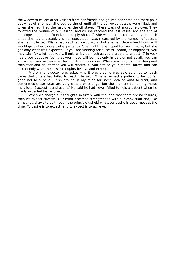the widow to collect other vessels from her friends and go into her home and there pour out what oil she had. She poured the oil until all the borrowed vessels were filled, and when she had filled the last one, the oil stayed. There was not a drop left over. They followed the routine of our lesson, and as she reached the last vessel and the end of her expectation, she found, the supply shut off. She was able to receive only as much oil as she had expected, and her expectation was measured by the number of vessels she had collected. Elisha had set the Law to work, but she had determined how far it would go by her thought of expectancy. She might have hoped for much more, but she got only what was expected. If you are working for success, health, or happiness, you may wish for a lot, but you will only enjoy as much as you are able to expect. If in your heart you doubt or fear that your need will be met only in part or not at all, you can know that you will receive that much and no more. When you pray for one thing and then fear and doubt that you will receive it, you diffuse your mental forces and can attract only what the lesser thoughts believe and expect.

 A prominent doctor was asked why it was that he was able at times to reach cases that others had failed to reach. He said: "I never expect a patient to be too far gone not to survive. I fish around in my mind for some idea of what to treat, and sometimes those ideas are very simple or strange, but the moment something inside me clicks, I accept it and use it." He said he had never failed to help a patient when he firmly expected his recovery.

When we charge our thoughts so firmly with the idea that there are no failures, then we expect success. Our mind becomes strengthened with our conviction and, like a magnet, draws to us through the principle upheld whatever desire is uppermost at the time. To desire is to expect, and to expect is to achieve.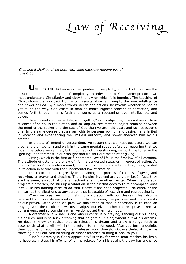<span id="page-31-0"></span>L*aw o f R e c eivin*g

*"Give and it shall be given unto you, good measure running over."* Luke 6:38

**U**NDERSTANDING reduces the greatest to simplicity, and lack of it causes the least to take on the magnitude of complexity. In order to make Christianity practical, we must understand Christianity and obey the law on which it is founded. The teaching of Christ shows the way back from wrong results of selfish living to the love, intelligence and power of God. By a man's words, deeds and actions, he reveals whether he has as yet found the way. God exists in man as man's highest concept of perfection, and comes forth through man's faith and works as a redeeming love, intelligence, and power.

 He who seeks a greater Life, with "getting" as his objective, does not seek Life in trueness of spirit. To the extent, and so long as, any material object remains between the mind of the seeker and the Law of God the two are held apart and do not become one. In the same degree that a man holds to personal opinion and desire, he is limited in knowing and experiencing the limitless authority and power endowed him by his creator.

 In a state of limited understanding, we reason that we must get before we can give, and then we turn and walk in the same mental rut as before by reasoning that we must give before we can get; but in our lack of understanding, we continue to leave the "getting" idea foremost in our thought and we shut out the spirit of giving.

 Giving, which is the first or fundamental law of life, is the first law of all creation. The attitude of getting is the law of life in a congested state, or in repressed action. As long as "getting" dominates a mind, that mind is in a paralyzed condition, being limited in its action in accord with the fundamental law of creation.

 The radio has aided greatly in explaining the process of the law of giving and receiving, or prayer and blessing. The principles involved are very similar. In fact, they are the same, except that one is mechanical and the other mental. When the operator projects a program, he stirs up a vibration in the air that goes forth to accomplish what it will. He has nothing more to do with it after it has been projected. The ether, or the air, carries the vibrations to any station that is capable of receiving and reproducing it.

 When we pray, we in turn stir up a vibration with our desires. This, also, is received by a force determined according to the power, the purpose, and the sincerity of our prayer. Often when we pray we think that all that is necessary is to keep on praying, with the result that we never adjust ourselves to become receptive to receive our answers, and so complain when we do not get them promptly.

 A dreamer or a wisher is one who is continually praying, sending out his ideas, his desires, and is so busy dreaming that he gets all his enjoyment out of his dreams. He doesn't know or realize that to release his dream and allow it to go forth to accomplish what it will, will in time return to him for good. After you form a definite clear outline of your desire, then release your thought God-ward—let it go—like throwing a ball out with no string or rubber attached to bring it back to you.

 "Man's extremity is God's opportunity" is true, for when man reaches his limit, he hopelessly stops his efforts. When he relaxes from his strain, the Law has a chance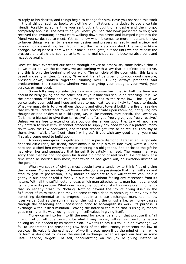to reply to his desires, and things begin to change for him. Have you not seen this work in trivial things, such as books or clothing or invitations or a desire to see a certain friend? Possibly at some time you sent out a thought or a desire and then forgot completely about it. The next thing you knew, you had that book presented to you; you received the invitation; or you were walking down the street and bumped right into the friend you so desired to meet. Yet, somehow when it comes to more important things, to larger things, we fail to release our desires and prayers as readily, and anxiety and tension holds everything fast. Nothing worthwhile is accomplished. The mind is like a sponge. We squeeze it hard with our anxious thoughts, but not until we can release the pressure and allow the sponge to take its normal shape can it become absorbent and receptive again.

Once we have expressed our needs through prayer or otherwise, some believe that is all we must do. On the contrary, we are working with a law that is definite and active, and this is only the beginning of our work. The principle of life upon which this Law is based is clearly written. It reads, "Give and it shall be given unto you, good measure, pressed down, shaken together, running over." Giving always precedes and predetermines the reception, whether you are giving your thought, your word, your service, or your deed.

 Some folks may consider this Law as a two-way law; that is, half the time you should be busy giving and the other half of your time you should be receiving. It is like the proposition of heat and cold; they are two sides to the same law. That is, if we concentrate upon cold and hope and pray to get heat, we are likely to freeze to death. What we must do is to give all our thought and effort toward building a fire or seeking that which will create heat to warm us. If we concentrate upon receiving, not giving any thought or idea or desire to build upon, we, in like manner, may perish. The Law says, "It is more blessed to give than to receive" and "as you freely give, you freely receive." Unless we are free to extend or give out our desire, our good, the, Law will not have any pattern to work with. It cannot proceed to supply any need without a pattern. Many try to work the Law backwards, and for that reason get little or no results. They say to themselves, "Well, after I get, then I will give." If you wish any good thing, you must first give some good to build upon.

 A young man gives his girlfriend a gift, a paste diamond. Later when he got into financial difficulties, his friend, most anxious to help him to tide over, wrote a kindly note and wished him every success in meeting his obligations. She enclosed the gift he had given her and suggested that he sell it to satisfy his need. The young man was sorry then that he had not given his friend a diamond of real worth. He got back at a time when he needed help most, that which he had given out, an imitation instead of the genuine.

 When we speak of giving, most people have a tendency to think first of giving their money. Money, an object of human affections so passionate that men will slay and steal to gain its possession, is by nature so obedient to our will that we can ;hold it gently in our hand or fold it fondly in our purse without feeling any resistance from its nature. With all the selfish getting ideas which man attaches to it, man has not changed its nature or its purpose. What does money get out of constantly giving itself into hands that so eagerly grasp it? Nothing. Nothing beyond the joy of giving itself in the fulfillment of its mission. Man may do some terrible deed to obtain it; he may pay it for something detrimental to his progress; but in all these exchanges man, not money, loses value. Just as the sun shines on the just and the unjust alike, so money passes through the deserving and undeserving hand to accomplish its work. Its purpose is exchange without discrimination. Leaving the latter to the mind that is using it, money goes merrily on its way, losing nothing in self-value, in giving itself.

 Money came into form to fill the need for exchange and on that purpose it is "all intent." Let our attitude toward it be what it may, money will remain true to its nature as long as it is needed by its master, Man. If we fail to pay full value in an exchange, we fail to understand the prospering Law back of the idea. Money represents the law of services; its value is the estimation of worth placed upon it by the mind of man, while its form is designed to insure the easiest exchange. When we give our best in some useful service, forgetful of self, concentrating on the joy of giving instead of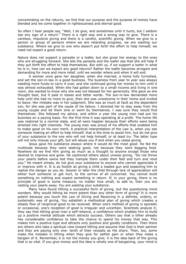concentrating on the returns, we find that our purpose and the purpose of money have blended and we come together in righteousness and eternal good.

So often I hear people say, "Well, I do give, and sometimes until it hurts, but I seldom see any sign of a return." There is a right way and a wrong way to give. There is a careless, impulsive giving and there is a careful, scientific giving. When we give to a person or group of persons where we are retarding progress, we are wasting our substance. Where we give to one who doesn't put forth the effort to help himself, we need not expect a good return.

Nature does not support a parasite or a loafer, but she gives her energy to the ones who are struggling forward. She lets the parasite and the loafer see that she will help if they put forth the effort to help themselves. But with us, if we support a loafer in what he is in, how can we expect any good returns? Rather the loafer becomes arrogant and demanding for more and more relief, until we wonder where and when it will end.

 A woman once gave her daughter, when she married, a home fully furnished, and set the son-in-law in a good business. The business from year to year was always needing more funds to carry it over, and she continued giving her money to him until it was almost exhausted. When she had gotten down to a small income and living in one room, she wanted to know why she was not blessed for her generosity. She gave as she thought best, but it paid in losses and bitter words. The son-in-law demanded more help until she had no more to give, then she was unwelcome in their home and invited to leave. Her mistake was in her judgment. She was as much at fault as the dependent son, for she was part of the cause of his failure. I directed her to stay away from the young couple and let them sink or swim by themselves. I was sure they would find themselves. She followed my advice, and within a year the young man had put his business on a paying basis. For the first time it was operating at a profit. The home life was restored to a normal state, and all were happier because their efforts were being directed into right channels. The young man was proud of his efforts that enabled him to make good on his own merit. A practical interpretation of the Law is, when you see someone making an effort to help himself, that is the time to assist him, but do not give of your substance to the one who will not help himself, or at least try. The latter type will not only misuse your gift, but will abuse you if and when you cease giving.

 Jesus gave his substance always where it would do the most good. He fed the multitude because they were seeking good, not because they were begging food. Nowhere do we find Him giving as much as a thought to anyone except those who desired to improve and grow. He cautioned others about unwise giving, "Do not throw your pearls before swine lest they trample them under their feet and turn and rend you." He meant simply, do not give your substance to anyone who cannot appreciate it or improve with it. It is as foolish as giving a child a loaded gun and expecting him to realize the danger as you do. Sooner or later the child through lack of appreciation will either hurt someone or get hurt, to the sorrow of all concerned. You cannot build something on nothing and expect something in return. If, in your giving, there is no principle of good in some measure, no matter how small, to add to, then you are casting your pearls away. You are wasting your substance.

 Many have found tithing a successful form of giving, but the questioning mind wonders. Why would tithing be more potent than any other form of giving? It is more potent because you touch the Law of Giving and Receiving in a definite, orderly, or systematic way of giving. You establish a methodical plan of giving which creates a steady flow of reciprocal good to be received. When one's method of giving is sporadic or occasional, one's reception of good is irregular and uncertain. Scientists analyze it; they say that tithing gives man a self-reliance, a confidence which enables him to build up a positive mental attitude which attracts success. Others say that a tither already has considerable confidence to take the chance to spend his money that way. This makes him a positive type and attracts only positive and goodly conditions. Then there are others who take a spiritual view toward tithing and assume that God is their partner and they are paying only one- tenth of their receipts as His share. Then, too, some make the mistake in tithing when they give for selfish gain or when they make a bargain of it. Remember, it is not the money you give; it is the idea back of the giving that is so vital. If you give money and the idea is wholly one of bargaining, your mind is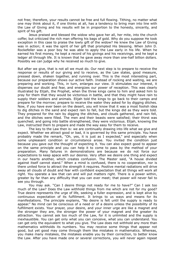not free; therefore, your results cannot be free and full flowing. Tithing, no matter what one may think about it, if one thinks at all, has a tendency to bring man into line with the Law of Giving and his results will be in proportion to the honesty, sincerity, and spirit of his gift.

 Jesus praised and blessed the widow who gave her all, her mite, into the church coffer, but criticized the rich man offering his bags of gold. Why do you suppose He took exception in this case to praise the lowly gift of the widow? He knew the Law of Giving was in action; it was the spirit of her gift that prompted His blessing. When John D. Rockefeller was a poor boy he was able to apply the Law early in his life. When he earned his first money, he kept a record of his givings and his receivings, and he kept a ledger all through life. It is known that he gave away more than one-half billion dollars. Possibly we can judge why he received so much to give.

But after we give, that is not all we must do. Our next step is to prepare to receive the response or results of our giving and to receive, as the Law states, good measure, pressed down, shaken together, and running over. This is the most interesting part, because our preparation shows our active faith. Instead of rocking and waiting, we are preparing and working. This, in turn, enlarges our view. It stimulates our interest, it disperses our doubt and fear, and energizes our power of reception. This was clearly illustrated by Elijah, the Prophet, when the three kings came to him and asked him to pray for them that they would be victorious in battle, and that they might have rain to supply their soldiers and animals. Elijah told the kings to go back to their camps and prepare for the morrow; prepare to receive the water they asked for by digging ditches. Now, if you have ever been on the desert, you will know that it was a most foolish idea to dig ditches in the sand and expect rain to fall, but the kings did as they were told. They prepared for the rain by digging the ditches, and clouds gathered, and rain fell, and the ditches were filled. The men and their beasts were satisfied; their thirst was quenched; and going into battle strengthened, they were victorious. Elijah, knowing the Law, instructed them to prepare and made the way easy for them to receive.

 The key to the Law then is: we are continually drawing into life what we give and expect. Whether we attract good or bad, it is governed by this same principle. You have probably made the remark, "Oh, yes, it is just as I expected," and especially when some unpleasant condition or circumstance arose. You invited the condition just because you gave out the thought of expecting it. You can also expect good to appear on the same principle and you can help it to come to pass by the method of your preparation. Many failures in demonstrations are because we do not force our expectations to keep apace with our desires. Very often we desire one thing and expect in our hearts another, which creates confusion. The Master said, "A house divided against itself cannot stand." When a mind is confused, there is no cooperation, nor is there united force to attract the strength it requires. Positive mental radiations will drive away all clouds of doubt and fear with confident expectation that all things will work all right. You operate a law that can and will put matters right. There is a power within, greater by far than any difficulty that you can ever meet; that power will never fail to see you through.

 You may ask. "Can I desire things not ready for me to have?" Can I ask too much of the Law? Does the Law withhold things from me which are not for my good? True desire represents the urge of life, seeking a fuller expression, and is kept alive by continuous expectation of its fulfillment. It brings to us ways and means for its manifestations. The principle explains, "No desire is felt until the supply is ready to appear." No mind can be conscious of a need or of a desire unless the possibility of its fulfillment exists. Your prayer, your desire, and your inner urge are like a magnet and the stronger they are, the stronger the power of your magnet and the greater its attraction. You cannot ask too much of the Law, for it is unlimited and the supply is inexhaustible. You can get only what you can conceive, what you can understand. You can get only the equivalent to what you give. The Law does not withhold any more than mathematics withholds its numbers. You may receive some things that appear not good, but yet good may come through them like mistakes in mathematics. Whereas, you make many mistakes, the mistakes enable you by their correction, to better know the Law. After you have made one or several corrections, you will never again repeat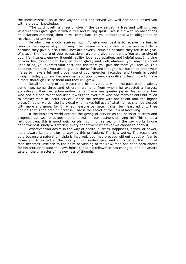the same mistake, so in that way the Law has served you well and has supplied you with a greater knowledge.

 "The Lord loveth a cheerful giver;" the Law serveth a free and willing giver. Whatever you give, give it with a free and willing spirit. Give it out with no obligations or dictations attached, then it will come back to you unburdened with obligations or restrictions of any form.

 He who gives much receives much. To give your best is to receive the best in ratio to the degree of your giving. The reason why so many people receive little is because they give out so little. They are poverty- stricken because they refuse to give. Whatever the nature of your possessions, give and give abundantly. You are to give of your life, interest, energy, thought, ability, love, appreciation, and helpfulness. In giving of your life, thought and love, in doing gladly and well whatever you may be called upon to do, you express your best, and the more you give the more you receive. This does not mean that you are to give to the selfish and thoughtless, but to so order your life as to make a full and proper use of your energies, faculties, and talents in useful living. If today your abilities are small and your powers insignificant, begin now to make a more thorough use of them and they will grow.

 Recall the story of the Master and his servants to whom he gave each a talent, some two, some three and others more, and from whom he expected a harvest according to their respective endowments. There was greater joy in Heaven over him who had but one talent and used it well than over him who had many talents but failed to employ them in useful service. Hence the servant with one talent took the higher place. In other words, the individual who makes full use of what he has shall be blessed with more and more, for "In what measure ye mete, it shall be measured unto thee again." That is the path of increase. That is the secret of the Law of Receiving.

 If the business world accepts the giving of service as the basis of success and progress, can we not accept the same truth in our business of living life? This is not a religious plea; this is good logic, or plain common sense, for if the Law works in one department it surely will work in every department wherever we choose to apply it.

Whatever you desire in the way of health, success, happiness, riches, or power, start toward it, start it on its way by this procedure. The Law works. The results are sure because a natural principle is involved; you may proceed without doubt or fear to desire and to expect all the good you can realize, use, and enjoy. When the mind of man becomes unselfish to the point of yielding to the Law, man has been born anew; for his attitude toward the Law, himself, and his fellowmen has changed, and his affairs take on the character of his newness of thought.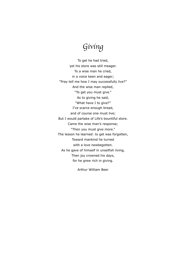## G*iving*

To get he had tried, yet his store was still meager. To a wise man he cried, in a voice keen and eager; "Pray tell me how I may successfully live?" And the wise man replied, "To get you must give." As to giving he said, "What have I to give?" I've scarce enough bread, and of course one must live; But I would partake of Life's bountiful store. Came the wise man's response; "Then you must give more." The lesson he learned: to get was forgotten, Toward mankind he turned with a love newbegotten. As he gave of himself in unselfish living, Then joy crowned his days, for he grew rich in giving.

Arthur William Beer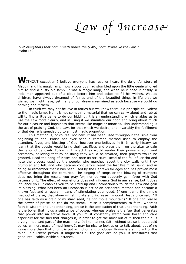L*aw o f In crea s*e

 *"Let everything that hath breath praise the (LAW) Lord. Praise ye the Lord."*  Psalm I50

**W**ITHOUT exception I believe everyone has read or heard the delightful story of Aladdin and his magic lamp; how a poor boy had stumbled upon the little genie who led him to find a dusty old lamp. It was a magic lamp, and when he rubbed it briskly, a little man appeared out of a cloud before him and asked to fill his wishes. We, as children, have always dreamed of fairies and of the beautiful things in life that we wished we might have, yet many of our dreams remained as such because we could do nothing about them.

 In truth we may not believe in fairies but we know there is a principle equivalent to the magic lamp. No, it is not something material that we can carry about and rub at will to find a little genie to do our bidding; it is an understanding which enables us to use the Law more clearly, and in using it we stimulate our good and bring about much for our pleasure and happiness that seems like magic or miracles. This understanding is the act of praising God, the Law, for that which we desire, and invariably the fulfillment of that desire is speeded up to almost magic proportion.

 This method is, of course, not new. It has been used throughout the Bible from beginning to end. Praise has ever been a common method used to employ the attention, favor, and blessing of God, however one believed in it. In early history we learn that the people would bring their sacrifices and place them on the altar to gain the favor of Jehovah. Following this act they would render their praise in song and ceremony, believing that by so doing they would be favored, their prayers would be granted. Read the song of Moses and note its structure. Read of the fall of Jericho and note the process used by the people, who marched about the city walls until they crumbled and fell, and who became conquerors. Read the last Psalm of David, and in doing so remember that it has been used by the Hebrews for ages and has proven most effective throughout the centuries. The singing of songs or the blowing of trumpets does not bring the results you pray for; nor do you suddenly gain favor with God because of it. The effect of your efforts does not influence God in any sense, but it does influence you. It enables you to be lifted up and unconsciously touch the Law and gain its blessing. What has been an unconscious act or an accidental method can become a known fact and a regular means of stimulating your good. If one learns the simple method of praise, that alone will stimulate and increase his good. Jesus once said, "If one has faith as a grain of mustard seed, he can move mountains." If one can realize the power of praise he can do the same. Praise is complementary to faith. Whereas faith is wisdom and understanding, praise is the application of that understanding. Faith is the boiler that holds a substance of power, whereas praise is the fuel that generates that power into an active force. If you must constantly watch your boiler and care especially for the fuel that charges it, in order to get the most out of it, then the fuel is a very important part of the machinery. In like manner, faith without praise is but a cold boiler, an inert mass of machinery. It may be nice to look at or to talk about, but of no value more than that until it is put in motion and produces. Praise is a stimulant of the mind. It quickens prayer. It magnetizes all the good around you. It transforms that good into usable, visible substance.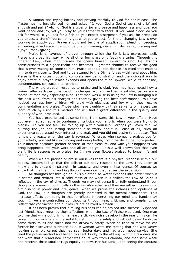A woman was crying bitterly and praying tearfully to God for her release. The Master hearing her, silenced her and asked, "Is your God a God of tears, of grief and anguish and pain?" Ah, no; God is a giver of joy and peace and happiness and love. You want peace and joy, yet you pray to your Father with tears. If you want black, do you ask for white? If you ask for a fish do you expect a serpent? If you ask for bread, do you expect a stone? You can only get what you expect, for the unchanging Law is ever working to supply you. Prayer should not be one of supplication, pleading, begging, entreating, a sad state. It should be one of claiming, declaring, decreeing, praising and a joyful thanksgiving.

 Praise is an avenue of prayer through which the Spirit Law expresses itself. Praise is a broad highway, while all other forms are only feeding arteries. Through this inherent Law, when man praises, he opens himself upward to God. He lifts his consciousness to a higher realm and becomes  $\sim$  greater channel to receive the good that is ever waiting to come to him. Praise opens a little door in his mind that enables him to draw closer to God and to be attuned to the Divine forces within and about him. Praise is the shortest route to complete any demonstration and the quickest way to enjoy effectual prayer. Praise expands and opens the mind upward, while its opposite, condemnation, contracts and restricts.

 The whole creation responds to praise and is glad. You may have noted how a trainer, after each performance of his charges, would give them a satisfied pat or some morsel of food they especially liked. That man was wise in using the Law in bringing out the best work from his charges and thereby giving the best performance. You have noticed perhaps how children will glow with gladness and joy when they receive commendation and praise. Those who have trouble with their servants or helpers can learn much by using this method and will find a great difference in the quality and quantity of work produced.

 You have experienced at some time, I am sure, this Law in your affairs. Have you ever had someone to condemn or criticize your efforts when you were trying to please? Did you not feel like folding up within yourself? Perhaps you even felt like quitting the job and letting someone else worry about it. Least of all, such an experience suppressed your interest and zeal, and you did not desire to do better. That is how one reacts when the Law is reversed. Whereas when someone praises you for your efforts, you feel like expanding and doing better, trying harder to be more perfect. Your interest becomes greater because of that pleasure, and with your happiness you bring happiness into your work and all around you. It is a well known fact that even plant life is responsive to praise, for I have seen flowers praised to longer life and beauty.

 When we are praised or praise ourselves there is a physical response within our bodies. Doctors tell us that the cells of our body respond to the Law. They seem to know and to expand in strength, in capacity, and even in intelligence. Of course, we know that it is the mind working through every cell that causes the expansion.

 All thoughts act through an invisible ether. As water expands into power when it is heated and retards into a solid mass of ice when it is chilled, the Law of Spirit is reflected in the law of physics. Though we may not sense it or fully understand it, our thoughts are moving continually in this invisible ether, and they are either increasing or diminishing in power and intelligence. When we praise the richness and opulence of God, the Law, our thoughts are greatly increased in the mental atmosphere. This increase affects our being in that it reflects in everything our mind and hands may touch. If we are contracting our thoughts through fear, criticism, and complaint, we reflect that contraction and our results are delayed or frozen.

 It has been proven that a failing business can be praised into success. Supposed lost friends have returned their affections when the Law of Praise was used. One man told me that while out driving he heard a clicking noise develop in the rear of his car. He talked to his machine and praised it to get him home safely and without delay. He drove some thirty miles and rolled into the driveway safely. When he tried to move the car further he discovered a broken axle. A woman wrote me stating that she was weary looking at an old carpet that had seen better days and had given good service. She tried the praise method and began to speak kindly to the old rug. Within a few days she had word that a brand new carpet was on its way from Colorado, and that same week she received three smaller rugs equally as new. Her husband, upon seeing the contrast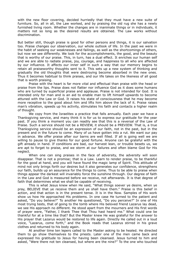with the new floor covering, decided hurriedly that they must have a new suite of furniture. So, all in all, the Law worked, and by praising the old rug she has a newly furnished living room. Whether the changes are in inanimate things or in individuals, it matters not so long as the desired results are obtained. The Law works without discrimination.

But better still, though praise is good for other persons and things, it is our salvation too. Praise changes our observation, our whole outlook of life. In the past we were in the habit of seeking our weaknesses and failings, as well as the shortcomings of others, but now we see differently. We look for the accomplishments, the good, and the beauty that is worthy of our praise. This, in turn, has a dual effect. It enriches our human self and we are able to radiate praise, joy, courage, and happiness to all who are affected by our influence. It affects our inner self in such a way that our memory begins to retain all praiseworthy thoughts sent to it. This sets up a new system of thinking and gradually the old thoughts that were destroying become absorbed in the new ones. Thus it becomes habitual to think praises, and our life takes on the likeness of all good that is worth praising.

 Praise with the heart is far more vital and effectual than praise with the head or praise from the lips. Praise does not flatter nor influence God as it does some humans who are turned by superficial praise and applause. Praise is not intended for God. It is intended only for man and is an aid to enable man to lift himself upwards to become attuned with the Law or God. It raises his state of consciousness that he may become more receptive to the good about him and lifts him above the lack of it. Praise raises man's vibration, speeds up his activity, stimulates his faith and contacts a higher realm of thought.

 We copy from the Israelites a practice that falls annually. Each year we have a Thanksgiving service, and many think it is for us to express our gratitude for the year past. If you think a moment you can readily see that this is a reversal of the Law of Praise. Such a service should not be a REVIEW, it should be a PREVIEW. That is, a true Thanksgiving service should be an expression of our faith, not in the past, but in the present and in the future to come. Many of us have gotten into a rut. We want our pay in advance. We offer praise after our barns are well filled. If all is going well we are willing to pause to give thanks for our good fortune. Anyone can be grateful with the gift already in hand. If conditions are bad, our harvest lean, or trouble besets us, we are apt to forget to praise, and we storm at our failures and often blame God for His neglect.

 When one can sing praises in the face of adversity, the adversity will soon disappear. That is not a promise; that is a Law. Learn to render praise, to be thankful for the good at hand, and you will have found the magic lamp of Spirit. This attitude of mind not only brings forth our desires but it also generates our confidence, strengthens our faith, builds up an assurance for the things to come. Thus to be able to praise when things appear the darkest will invariably force the sunshine through. Our degree of faith in the Law and God is measured before we receive, not afterwards. It is that degree of faith that determines what we shall be capable of receiving.

 This is what Jesus knew when He said, "What things soever ye desire, when ye pray, BELIEVE that ye receive them and ye shall have them." Praise is this belief in action, and that action is in the present tense. It is in the Now. Samples of His work show us how He approached His problems. In one case He turned to the patient and asked, "Do you believe?" To another He questioned, "Do you perceive?" In one of His most trying tests, that of going to the tomb where His beloved friend Lazarus lay dead, we see His approach no different. He stood apart from the mourners and His first words of prayer were, "Father, I thank Thee that Thou hast heard me." What could one be thankful for at a time like that? But the Master knew He was grateful for the answer to His prayer that Lazarus would be restored to life again. Directly He called out in a loud voice, "Lazarus, come forth," and the Book reads that Lazarus stirred in his grave clothes and returned to his body again.

 At another time ten lepers called to the Master asking to be healed. He directed them to go show themselves to the priests. Later one of the men came back and expressed his gratitude to Jesus for having been cleansed. Jesus turned to him and asked, "Were there not ten cleansed, but where are the nine?" To the one who touched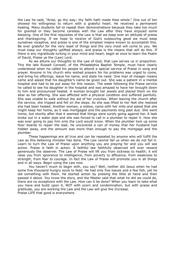the Law he said, "Arise, go thy way; thy faith hath made thee whole." One out of ten showed his willingness to return with a grateful heart. He received a permanent healing. Many students fail to repeat their demonstrations because they take too much for granted or they become careless with the Law after they have enjoyed some blessing. One of the first requisites of the Law is that we keep ever an attitude of praise and thanksgiving. If we hope to receive of God's outpouring good we must keep ourselves receptive, and praise is one of the simplest means known to accomplish this. Be ever grateful for the very least of things and the very most will come to you. We must keep our thoughts uplifted always, and praise is the means that will do this. If there is any ingratitude lurking in your mind and heart, begin at once to learn the Psalm of David, Praise ye the (Law) Lord.

 As we attune our thoughts to the Law of God, that Law serves us in proportion. This the late Russell Conwell, of the Philadelphia Baptist Temple, must have clearly understood when he called his people to attend a special service of Praise in song and prayer. Anyone in his church who wished prayers for his problems was urged to come, and bring his offerings, leave his name, and state his need. One man of meager means came and asked that his daughter's name be given out. She was a patient in a mental hospital and had to be put away for this reason. The week following the Praise service he called to see his daughter in the hospital and was amazed to have her brought down to him and pronounced healed. A woman brought her jewels and placed them on the altar as her offering. She was afflicted with a physical condition and suffered painfully. She was unable to walk without the aid of her crutches. When leaving the church after the service, she tripped and fell on the steps. As she was lifted to her feet she realized she had been healed. Another woman, a widow, came with her mite and asked that she might keep her home, as it was mortgaged and the payments long past due. She went home, but shortly after that it seemed that things were surely going against her. A leak broke out in a water pipe and she was forced to call in a plumber to repair it. How she was ever going to pay him only the Lord would know. When the plumber tore up some floor boards to repair the leak, he uncovered a can of money that her husband had hidden away, and the amount was more than enough to pay the mortgage and the plumber.

 These happenings are all true and can be repeated by anyone who will fulfill the Law as this believing minister has done. The Law cannot fail us when we do not fail it. Learn to turn the Law of Praise upon anything you are praying for and you will see action. Praise is faith in action. A faithful law faithfully observed will ever reward generously the observer. The Law of Praise will lift you from sickness to health; it will raise you from ignorance to intelligence, from poverty to affluence, from weakness to strength, from fear to courage. In fact the Law of Praise will promote you in all things and in all ways. Begin using the Law now.

 You haven't much to begin with, you say? Well, neither did Jesus when he had some five thousand hungry souls to feed. He had only five loaves and a few fish, yet he did something with them. He started action by praising the little at hand and then passed it about. You know the story, and the Master said that what he did we could do, there are no exceptions with the Law. How can it be done? When you learn to take what you have and build upon it, NOT with scorn and condemnation, but with praise and gratitude, you are working the Law and the Law will give the Increase. Praise LIFE that good is everywhere.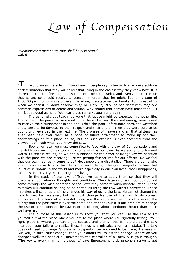L*aw o f Compensation*

*"Whatsoever a man sows, that shall he also reap."* Gal. 6:7

"THE world owes me a living," you hear people say, often with a reckless attitude of determination that they will collect that living in the easiest way they know how. It is current talk at the fireside, across the table, over the radio, and even a political issue that so-and-so should receive a pension in order that he might live on a sum of \$200.00 per month, more or less. Therefore, the statement is familiar to morest of us when we hear it. "I don't deserve this," or "How unjustly life has dealt with me," are common expressions of defeat and failure. Why should that person have more than I? I am just as good as he is. We hear these remarks again and again.

 The early religious teachings were that justice might be expected in another life. The rich and the powerful, assumed to be the wicked and the overbearing, were bound to receive their punishment in the end. While the poor unfortunate ones, the wretched ones, were to be devoted to their religion and their church; then they were sure to be bountifully rewarded in the next life. The promise of heaven and all that glitters has ever been held over them as a hope of future attainment to make up for their shortcomings on this plane of life, but no such attitude is ever accepted from the viewpoint of Truth when you know the Law.

 Sooner or later we must come face to face with this Law of Compensation, and inevitably our own comes to us, and only what is our own. As we apply it to life and watch its certain results, do we find a balance for the effort of living? Are we satisfied with the good we are receiving? Are we getting fair returns for our efforts? Do we feel that our own has really come to us? Most people are dissatisfied. There are some who even go so far as to say that life is not worth living. The great majority declare that injustice is riotous in the world and more especially in our own lives, that unhappiness, sickness and poverty exist through our living.

 In the study of the laws of Truth we learn to apply them so that they will dissolve all our adverse thoughts and conditions. The mistakes of a school boy do not come through the wise operation of the Law; they come through miscalculation. These mistakes will continue so long as he continues using the Law without correction. These mistakes will continue until he changes his way of using the Law. He cannot change the Law to suit his mistakes, but he must change his use of the Law to its correct application. The laws of successful living are the same as the laws of science; the supply and the possibility is ever the same and at hand, but it is our problem to change the use or application of the Law in order to bring about conditions better than those we have had.

 The purpose of this lesson is to show you that you can use the Law to lift yourself out of the place where you are to the place where you rightfully belong. Your right place is where you can enjoy success and plenty; this is natural, as the Law intended; your failure to realize these things is a miscalculation, a mistake. The Law does not need to change. Success or prosperity does not need to be made, it always is. But you, in turn, must change; then your affairs will follow the change. Where do you change? Well, the seat of all movement, the controller of all activity is your thought. "The key to every man is his thought," says Emerson. Why do prisoners strive to get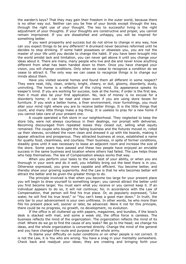the warden's keys? That they may gain their freedom in the outer world, because there is no other way out. Neither can you be free of your bonds except through the key, through the right use of your thought. The key to successful living is the right adjustment of your thoughts. If your thoughts are constructive and proper, you cannot remain imprisoned. If you are dissatisfied and unhappy, you will be inspired for something better.

 If you want prosperity and success but do not strive to change in any way, how can you expect things to be any different? A drunkard never becomes reformed until he decides to stop drinking. If some habit possesses or obsesses you, you are not the master of your life until you decide to change the habit. If you have been brought into the world amidst lack and limitation, you can never get above it until you change your ideas about it. There are many, many people who live and die and never know anything different from what has been handed down to them. Once you have changed your vision, you will change conditions. Only when we cease to recognize a condition do we cease to attract it. The only way we can cease to recognize things is to change our minds about them.

 Have you visited several homes and found them all different in some respect? They were neat, tidy, clean, orderly, bright, cheery, or dull, gloomy, disorderly, dusty, uninviting. The home is a reflection of the ruling mind. Its appearance speaks its keeper's mind. If you are working for success, look at the home; if order is the first law, then it must also be your first application. No, lack of money is no excuse for a disorderly home; it can be neat and clean even if you are using store boxes for furniture. If you wish a better home, a finer environment, nicer furnishings, you must alter your mind right where you are to receive better things. It is the little things that count, and many little things make a big thing. It is useless to pray for a new home if you cannot take care of your present one.

 A couple operated a fish store in our neighborhood. They neglected to keep the store tidy, were not always courteous in their dealings, nor prompt with deliveries. Becoming discouraged from repeated losses they closed out, selling what equity remained. The couple who bought the failing business and the fixtures moved in, rolled up their sleeves, scrubbed the room clean and dressed it up with tile boards, making it appear attractive and prosperous. They attracted business at once, established a name for quality food, cleanliness, and courtesy. Their business, in spite of former conditions, steadily grew until it was necessary to lease an adjacent room and increase the size of the store. Some years have passed and these two people have enjoyed an enviable success in the same business and location where others had failed. The Law helps those who help themselves. The law of Compensation always works that way.

 When you perform your tasks to the very best of your ability, or when you are thorough in your work and do it well, you infallibly bring out the best there is in you. Otherwise expressed, you grow more capable and efficient. You become better, and thereby show your growing superiority. And the Law is that he who becomes better will attract the better and be given the greater things to do.

 The principle involved is that when you become too large for your present place you will begin to draw yourself to something larger; you cannot attract the better until you first become larger. You must earn what you receive or you cannot keep it. If an individual appears to do so, it will not continue; for, in accordance with the Law of Compensation, that person will find his true place. Or, as popularly expressed, "Like water, he will find his true level," or "You can't keep a good man down." In truth, the only bar to your advancement is your own unfitness. In other words, he who more than fills his present place will, sooner or later, be advanced. Were it not for this principle, there could be no progress, no growth, no development, no evolution.

 If the office is all cluttered up with papers, magazines, and bundles, if the boss's desk is stacked with mail, and some a week old, the office force is careless. The business reflects the mind of the organization. The organization reflects the mind of its chief. Where do we go to find the cause of any leaks? We go to the head; we change his ideas, and the whole organization is converted directly. Change the mind of the general and you have changed the route and purpose of the whole army.

 To blame your difficulty on outer conditions or on other people is not correct. It is not the Law, it is You who are wrong. You have a snag in your mentality somewhere. Check back and readjust your ideas; they are creating and bringing forth your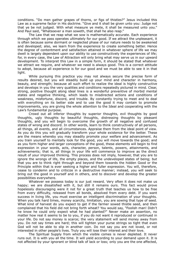conditions. "Do men gather grapes of thorns, or figs of thistles?" Jesus included this Law as a supreme factor in His doctrine. "Give and it shall be given unto you: Judge not that ye be not judged. With what measure ye mete, it shall be measured unto you." And Paul said, "Whatsoever a man soweth, that shall he also reap."

 The Law that we reap what we sow is mathematically accurate. Each experience through which we pass operates ultimately for our good. If we attract the unpleasant, it is often because some dormant or neglected phase of our nature needs to be awakened and developed; also, we learn from the experience to create something better. Hence the degree of contentment and satisfaction attained in whatever sphere of life we may dwell is largely dependent upon our ability to use constructively the experiences of life; for, in every case, the Law of Attraction will only bring what may serve us in our upward development. To interpret this Law in a simple form, it should be stated that whatever we attract we require, and whatever we need is always good. This is a correct attitude to adopt, because all experience is for our good and we must be able to see it in that light.

 While pursuing this practice you may not always secure the precise form of results desired, but you will steadily build up your mind and character in harmony, beauty, and strength; because all such effort to realize the ideal is highly constructive and develops in you the very qualities and conditions repeatedly pictured in mind. Clear, strong, positive thought along ideal lines is a wonderful preventive of morbid mental states and negative thinking, which leads to misdirected actions and conditions of weakness, misfortune, discord, and trouble. By constantly trying to meet and to deal with everything on its better side and to use the good it may contain to promote improvements, you are giving the whole attention to the Ideal and cooperating with the Law's fundamental purpose.

 Crowd out all inferior thoughts by superior thoughts, evil thoughts by good thoughts, ugly thoughts by beautiful thoughts, distressing thoughts by pleasant thoughts, and you will begin to overcome the growth of all negative and confused states of wrong and discord. In other words, learn to think constructively of all persons, all things, all events, and all circumstances. Appraise them from the ideal point of view. As you do this you will gradually transform your whole existence for the better. These are the means whereby you may steadily promote your welfare and advancement. As you train yourself to mentally look for the good, you will move towards the good; and as you form higher and larger conceptions of the good, these elements will begin to find expression in your words, acts, character, person, talents, powers, attainments, and achievements; that is, all things in your life will commence to improve as the direct result of your improved thinking. This process does not imply, however, that you are to ignore the wrongs of life, the empty places, and the undeveloped states of being; but that you are to think right through and beyond them towards the hidden Good or the Principle within that is ever seeking a higher and fuller expression. You will, therefore, cease to condemn and to criticize in a destructive manner; instead, you will seek to bring out the good in yourself and in others, and to discover and develop the greater possibilities everywhere.

 Whatever we possess today is our just reward. Very often it does not make us happy; we are dissatisfied with it, but still it remains ours. This fact would prove hopelessly discouraging were it not for a great truth that teaches us how to be free from every difficulty, released from all bonds, absolved from every debt. If you want success in living life, you must exercise an intelligent discrimination of your thoughts. When you talk hard times, money scarcity, limitation, you are sowing that type of seed. What kind of harvest do you expect to get if the farmer sowed thistle seed, and then complained that his field did not bring forth wheat? You would say, "Foolish man! Didn't he know he could only expect what he had planted?" Never make an assertion, no matter how real it seems to be to you, if you do not want it reproduced or continued in your life. Do not say money is scarce; the very statement will send money away from you. Do not say times are hard; this will tighten your purse strings so tight that even God will not be able to slip in another coin. Do not say you are not loved, or not interested in other people's lives. Truly you will lose their interest and their love.

 The Spiritual Supply from which the visible comes is never depleted. It never runs out. It is with you all the time. It will yield according to your demand upon it. It is not affected by your ignorant or blind talk of lack or loss; only you are the one affected,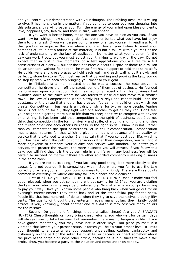and you control your demonstration with your thought. The unfailing Resource is willing to give, it has no choice in the matter; if you continue to pour out your thoughts into this substance, this will prosper you. Turn the energy of your mind upon ideas of plenty, love, happiness, joy, health, and they, in turn, will appear.

 If you want a better home, make the one you have as nice as you can. If you want new furnishings, new clothing, don't condemn or belittle what you have, but enjoy them to the fullest. If you want a position or a new one, get yourself in readiness to fill that position or improve the one where you are. Hence, your failure to meet your demands of life is not a failure of the material; it is but a failure within yourself of the lack of understanding or the lack of application. No matter what your problem is, the Law can work it out, but you must adjust your thinking to work with the Law. Do not expect that in just a few moments or a few applications you will realize a full consciousness of plenty. A builder does not erect a beautiful spire or dome to a million dollar cathedral without foundation; he must first have support to hold that spire aloft. He builds walls and cross braces to hold each wall, and each wall is built slowly and perfectly, stone by stone. You must realize that by working and proving the Law, you do so step by step, with each step bringing you closer to your goal.

 In Philadelphia a man boasted that he was a success, he rose above his competitors, he drove them off the street, some of them out of business. He founded his business upon competition, but I learned only recently that his business had dwindled down to the place where he was forced to close out and move to a smaller town. The Law of Compensation works slowly but surely; one cannot build upon the substance or the virtue that another has created. You can only build on that which you create. Competition in business is a rivalry, or strife, for two or more people. Fearing there is not enough for all, they fight with one another to get all they can. Don't fear your neighbor is getting more out of life than you are; don't try to compete with anyone or anything. It has been said that competition is the spirit of business, but I do not think that competition in the form of rivalry and strife, of arguing and fighting and lying about each other and each other's business, is the right spirit. I know it is not. Rather than call competition the spirit of business, let us call it compensation. Compensation means equal returns for that which is given; it means a balance of that quality or service that is extended to another. I am certain that if you conduct your life, which is your business, along the path of compensation rather than competition, you will find it more enjoyable to compare your quality and service with another. The better your service, the greater the reward, the more business you will attract. If you follow this Law, you will find that it is the golden rule in any life or in any business. You will be certain to succeed no matter if there are other so-called competitors seeking business in the same block.

 If you are not succeeding, if you lack any good thing, look more closely to the cause. It is not outside; it is somewhere within. See where you fail to use the Law correctly or where you fail in your consciousness to think rightly. There are three points common in everyday life where one may fall into a snare and a delusion.

 First of all: Do you EXPECT SOMETHING FOR NOTHING? Does it make you feel good, pleased, when you get something without paying for it? If so, you are violating the Law. Your returns will always be unsatisfactory. No matter where you go, be willing to pay your way. Have you known some people who hang back when you go out for an evening's entertainment? They stand back and let the other fellow pay for the show. People like that lose hundreds of dollars when they try to save themselves a paltry fifty cents. The quality of thought they entertain repels many dollars they rightly could attract. If you, knowingly, cheat another one of a dollar, it may cost you many dollars for the mistake.

 Second: Do you hunt for things that are called cheap? Are you A BARGAIN HUNTER? Cheap thoughts can only bring cheap returns. You who wait for bargain days will always have to take bargains, but remember, there are no bargains in life. If you have gained monetarily, you may have lost in other ways. You place yourself in a vibration that lowers your present state. It forces you below your proper level. It limits your thought to a state where you support underselling, cutting, bankruptcy and dishonesty on the part of the seller. He must lie, or deceive, or cheat somehow about the price of the bargain or some other article, because he is in business to make a fair profit. Thus, you become a party to the violation and come under its penalty.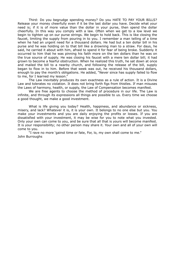Third: Do you begrudge spending money? Do you HATE TO PAY YOUR BILLS? Release your money cheerfully even if it be the last dollar you have. Decide what your need is; if it is of more value than the dollar in your purse, then spend the dollar cheerfully. In this way you comply with a law. Often when we get to a low level we begin to tighten up on our purse strings. We begin to hold back. This is like closing the faucet, limiting the supply from pouring in to you. I remember a man telling of a time when he had an urgent need for a thousand dollars. He had but a ten dollar bill in his purse and he was holding on to that bill like a drowning man to a straw. For days, he said, he carried it about with him, afraid to spend it for fear of being broke. Suddenly it occurred to him that he was pinning his faith more on the ten dollars than he was on the true source of supply. He was closing his faucet with a mere ten dollar bill; it had grown to become a fearful obstruction. When he realized this truth, he sat down at once and mailed the bill to a nearby church, and following the release of the bill, supply began to flow in to him. Before that week was out, he received his thousand dollars, enough to pay the month's obligations. He added, "Never since has supply failed to flow to me, for I learned my lesson."

 The Law inevitably produces its own exactness as a rule of action. It is a Divine Law and tolerates no violation. It does not bring forth figs from thistles. If man misuses the Laws of harmony, health, or supply, the Law of Compensation becomes manifest.

We are free agents to choose the method of procedure in our life. The Law is infinite, and through its expressions all things are possible to us. Every time we choose a good thought, we make a good investment.

What is life giving you today? Health, happiness, and abundance or sickness, misery, and lack? Whatever it is, it is your own. It belongs to no one else but you. You make your investments and you are daily enjoying the profits or losses. If you are dissatisfied with your investment, it may be wise for you to note what you invested. Only your own can come to you, and be sure that all that is yours will become manifest. It is your responsibility; no other person may share it. Your own and all of your own will come to you.

 "I rave no more 'gainst time or fate, For, lo, my own shall come to me." John Burroughs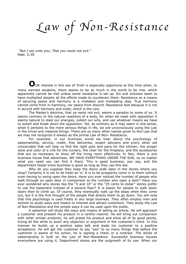L*aw o f Non -R e si s tan c e*

 *"But I say unto you; That you resist not evil."* Matt. 5:39

 **O**UR interest in this law of Truth is especially opportune at this time when, to many earnest students, there seems to be so much in the world to be met, which apparently cannot be met unless some resistance is set up. Sin and sickness seem to have multiplied despite all the efforts made to counteract them. Resistance as a means of securing peace and harmony is a mistaken and misleading idea. True harmony cannot come from in-harmony, nor peace from discord. Resistance fails because it is not in accord with harmony and order, which is the Law.

 The Master's doctrine, that ye resist not evil, seems a paradox to some of us. It seems contrary to the natural reactions of a body, for when we meet with opposition it seems natural to steel our energies, collect our wits, and use whatever means we have to outwit and break down the opposition. Yet, as contrary as it may seem in one sense, when it pertains to the more serious things in life, we are unconsciously using the Law in the trivial and material things. There are so many other names given to this Law that we may not recognize it always as the primal Law of Non- Resistance.

 For example, in our business world we hear about the psychology of salesmanship, service, credit, free deliveries, expert advisers and every other aid conceivable that will help us find the right pots and pans for the kitchen, the proper style and color of a crib for the nursery, the chair for the fireplace, and the accessories that are so necessary to show off the living room effectively. In fact, there is one business house that advertises, WE HAVE EVERYTHING UNDER THE SUN, so no matter what you need you can find it there. This is good business, you say, and the department heads know business is good as long as they use this law.

 Why do you suppose they keep the doors wide open in the stores where you shop? Certainly it is not to let fresh air in. It is to let prosperity come in to them without even having to swing open the doors. Have you ever noticed the number of people who walk through an open door in comparison to the number who open a door? Have you ever wondered why stores like the "5 and 10" or the "25 cents to dollar" stores prefer to use the basement instead of a second floor? It is easier for people to walk down stairs than to climb up. Of course, they eventually walk up the steps when they come out, but it is the first thought of the people that directs them to go down. You will note that this psychology is used freely in any large business. They often employ men and women to study ways and means to interest and attract customers. They study the Law of Non-Resistance and the simple ways it can be used upon the public.

 A salesman will study the ways and means of selling an article. He will approach a customer and present his product in a careful manner. He will bring out comparison with other similar products, he will praise his product and show all of its good points, trying all the while to avert any objection or argument in the customer's mind. In this manner he builds up a positive sales talk and leads his customer to a positive acceptance. He will get the customer to say "yes" to so many things that before the customer is aware of his action, he is signing a check or a contract. The whole of salesmanship is built on the Law of Non-Resistance. Successful business houses everywhere are using it. Department stores are the outgrowth of its use. When our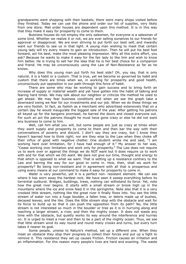grandparents went shopping with their baskets, there were many shops visited before they finished. Today we can use the phone and order our list of supplies, very likely from one store. Mail order houses are dependent upon this method. It is in this way that they make it easy for prosperity to come to them.

 Business houses do not employ the only salesmen, for everyone is a salesman of some kind. Whether we realize it or not, we are ever selling ourselves to our friends for approval or disapproval. We are ever striving to put forth our best self, and inwardly want our friends to see us in that light. A young man wishing to meet that certain young lady will try every means to gain an introduction. Then he will put his best foot forward, act his best, make the most pleasing impression. Why all this extra effort, you ask? Because he wants to make it easy for the fair lady to like him and wish to know him better. He is trying to sell her the idea that he is her best choice for a companion and friend. He may be unconsciously using the Law of Non-Resistance as far as he knows.

 Why does this young man put forth his best side? Oh, you say, that is only natural, it is a habit or a custom. That is true, yet we become so governed by habit and custom that there are times when we, in working for prosperity and good health, unconsciously put opposition in our path through this force of habit.

 There are some who may be working to gain success and to bring forth an increase of supply or material wealth and yet have gotten into the habit of talking and fearing hard times. We may talk about our neighbor or criticize the method he used to get ahead. We may fear business conditions and when we see the graph take a downward swing we fear for our investments and our job. When we do these things we are very foolish. In fact, as foolish as a merchant who advertised extensively that on a certain day he would inaugurate the biggest sale of the year. After getting his patrons all keyed up for the bargains promised, he barred the doors and closed everyone out. For such an act the patrons thought he must have gone crazy or else he did not want any business to come to him.

 Well, call him what you will, but some people are just as crazy at times when they want supply and prosperity to come to them and then bar the way with their conversations of poverty and discord. I don't say they are crazy, but I know they haven't learned how to think right; nor are they wise to the Law when they choke off their influx of good with negative chatter. One student wrote me and said, "I am working hard over limitation, for I have had enough of it." My answer to her was, "Cease working over limitation and work only for prosperity." The Law does not require us to work over or against the things we do NOT want but it does require us to work with and for that which we DO want. We dare not give our time, thought and energy to that which is opposed to what we want. That is setting up a resistance contrary to the Law and barring the way for our good to come in. How, then, shall we work for prosperity? By being non-resistant and in agreement with all that is prosperous and using every means at our command to make it easy for prosperity to come in.

 Water is very powerful, yet it is a perfect non- resistant element. We can see where it has worn away the hardest rock. We have seen it sweep everything before its torrential outburst. Bridges, buildings, trees, nothing can withstand its force. Yet, note how the great river begins. It starts with a small stream or brook high up in the mountains where the ice and snow feed it in the springtime. Note also that it is a very crooked little stream, nothing like the great river it finally flows into. You see the little stream of water run into a huge boulder, a fallen tree, or debris made up of bushes, decayed leaves, and the like. Does the little stream stop with the obstacle and wait for its force to build up so that it can push the opposition from its path? No, the little stream is not interested so much in the boulder or tree as it is in hurrying along and reaching a larger stream, a river, and then the mighty ocean. It does not waste any time with the obstacle, but quietly works its way around the interference and hurries on. It is urged to meet a river and then to be a part of the mighty ocean. Thus, we see that little stream wind its way round and round many crooks and turns, but every turn takes it nearer its goal.

 Some people, unwise to Nature's method, set up a different one. When they meet an obstacle they stop their progress to collect their forces and put up a fight to remove it. This resistance they set up causes friction. Friction causes an irritation and an inflammation. For this reason many people's lives are hard and exacting. The waste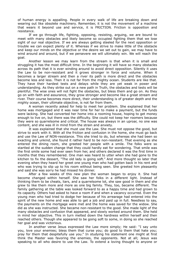of human energy is appalling. People in every walk of life are breaking down and wearing out like obsolete machinery. Remember, it is not the movement of a machine that wears it beyond use and service, it is FRICTION. Friction is opposition and resistance.

 If we go through life, fighting, opposing, resisting, arguing, we are bound to meet with many obstacles and likely become so occupied fighting them that we lose sight of our real objective. If we are always getting steeled for the next opposition or trouble we can expect plenty of it. Whereas if we strive to make little of the obstacle and keep our minds on the objective or the desire we set out to gain, we may have to wind around and around, but if we persevere we will ultimately win. We will reach the goal.

 Another lesson we may learn from the stream is that when it is small and struggling it has the most difficult time. In the beginning it will have so many obstacles across its path that it is ever winding around to avoid direct opposition. Silently it uses the Law to be non-resistant and it grows stronger in force and volume. When it becomes a larger stream and then a river its path is more direct and the obstacles become less and less. Then it is not far from the mighty ocean. Students are like that. They have their hardest tests and delays while they are yet weak in power and understanding. As they strike out on a new path in Truth, the obstacles and tests will be plentiful. The wise ones will not fight the obstacles, but bless them and go on. As they go on with faith and assurance, they grow stronger and become like a great stream and river. Their course becomes more direct, their understanding is of greater depth and the mighty ocean, their ultimate objective, is not far from them.

 A woman recently asked for help to meet her problem. She explained that her home was mortgaged and it was near time for her to make a payment, but the funds were lacking. She had converted her home into a rooming house, hoping to get money enough to live on, but there was the difficulty. She could not keep her roomers because they were so quarrelsome and critical. The house was always in an uproar, no one was content, and she was ill in mind from the strain and anxiety.

 It was explained that she must use the Law. She must not oppose the good, but strive to work with it. With all the friction and confusion in the home, she must go back and use the Law of NON-resistance. This she tried to do, but whereas she had been so exacting and unkind, she found it rather hard to be non-resistant. That evening as she entered the dining room, she greeted her people with a smile. The folks were so startled at the sudden change that they could hardly eat for wondering. That smile was the first smile some had ever seen from her, and others declared it was the first time in months that they remembered. One man was heard to utter when she had gone to the kitchen to fix the dessert, "The old lady is going soft." And more thought so later that evening when they heard her greet one young man who had gotten back in his rent and who was trying to slip up to his room without being seen. She greeted him pleasantly and said she was sorry he had missed his dinner.

 After a few weeks of this new plan the woman began to enjoy it. She had become changed within herself. She saw her folks in a different light. Instead of thinking them to be cheats, liars, and a quarrelsome lot, she saw good in them and she grew to like them more and more as one big family. They, too, became different. The family gathering at the table was looked forward to as a happy time and had grown to its capacity. Others had asked to have a room if and when a vacancy occurred. Even the young man who had tried to dodge her because of his arrearage had entered into the spirit of the new home and was able to get a job and paid up in full. Needless to say, the payments on the mortgage were met and the home was saved for the widow. She did as she was instructed. She became non-resistant to the good. She made light of the many obstacles and confusion that appeared, and slowly worked around them. She held in mind her objective. This in turn melted down the hardness within herself and then reached others. Though she appeared to be going soft to some, in doing so she reached her goal and was victorious.

 In another verse Jesus expressed the Law more simply; He said: "I say unto you, love your enemies; bless them that curse you; do good to them that hate you; pray for them that despitefully use you." In studying his statement one might at first think the Master was favoring the enemies, the opponents. Not at all; Jesus was speaking to all who desire to use the Law. To extend a loving thought to anyone or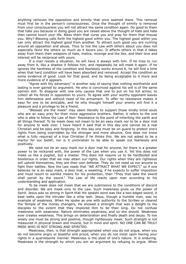anything removes the opposition and enmity that once seemed there. This removal must first be in the person's consciousness. Once the thought of enmity is removed from your consciousness you will not attract the same condition again. Do good to them that hate you because in doing good you are raised above the thought of hate and hate then cannot touch your life. Bless them that curse you and pray for them that misuse you. Why? Blessing calls forth the highest good within you. The highest good within you can only attract the highest good from another. To attract such good you are running around all opposition and abuse. Thus to live the Law with others about you does not especially favor the others so much as it favors you. It affects others in that it takes away from them their weapons of hate, malice, revenge and the like, and their love and interest will be reciprocal with yours.

 If a man resists a situation, he will have it always with him. If he tries to run away from it, like a shadow it follows him, and repeatedly he will meet it again. If he ignores the hardness of the condition and fearlessly works around it, he will find a time when that hard condition will have been absorbed and removed. Accept the condition as some evidence of good. Look for that good, and by being acceptable to it more and more evidence of it appears.

 "Agree with thy adversary" is another way of saying that nothing worthwhile and lasting is ever gained by argument. He who is convinced against his will is of the same opinion still. To disagree with one only causes that one to put on his full armor, to collect all his forces in opposition to yours. To agree with your worthy opponent leaves him defenseless and without need of his armament. To offer no resistance makes it easy for one to be amicable, and he who thought himself your enemy will find it a pleasure and a privilege to be a friend.

 "Blessed are the meek" may seem literally to support those kindly timid souls who are an easy prey for their more aggressive brothers. Rather, it refers to the one who is able to follow the Law of Non- Resistance to the point of inheriting the earth and all things thereof. To be meek does not mean to be an easy mark nor to be a door mat for anyone to walk over. I have heard it said that in this day one cannot be a real Christian and be easy and forgiving. In this day one must be on guard to protect one's rights from being overridden by the stronger and more abusive. One does not know what is fully required of a true Christian if he thinks this. We are not asked to be a martyr for our belief; nor is it unchristian to be able to speak out fearlessly and positively.

 We need not be an easy mark nor a door mat for anyone, for there is a greater power to be reckoned with, the power of the Law when you use it. Yet this does not make us like a pugilist, but a master. This does not require us to be hardboiled and boisterous in order that we may attain our rights. Our rights when they are righteous will uphold themselves, they are their own defense. They do not need us nor anyone to fight their battles. Now the Law reads that "WE ATTRACT WHAT WE EXPECT," so if one believes he is an easy mark, a door mat, a weakling, if he expects to suffer imposition and must resort to warlike means for his protection, then "They that take the sword shall perish by the sword." The Law of life reacts upon man according to his understanding and application.

 To be meek does not mean that we are submissive to the conditions of discord and disorder. We are meek only to the Law. Such meekness gives us the power of Spirit. Jesus was so strong in Spirit that His spoken word was like a two-edged sword, it beat welts upon the intruder like a whip lash. Jesus, though a humble man, was no example of weakness. When He spoke as one with authority to the Scribes or cleared the Temple of the money changers, He showed a strength that was a delight to His disciples to the extent that they implored Him to be their king. Do not confuse meekness with weakness. Nature eliminates weakness, and so she should. Weakness ever creates weakness. This brings on deterioration and finally death and decay. To live wisely one must be strong and positive, though righteously meek. Such strength is not measured in physical brawn and muscle, but in mind and spirit. NO ONE CAN BE TRULY MEEK WHO IS NOT STRONG AND SPIRITED.

 Meekness, then, is that strength appropriated when you do not argue, when you do not become angry or boastful and proud, when you do not insist upon having your rights in a quarrelsome manner. Meekness is the steel of one's nature. It is enduring. Meekness is the strength by which you win an argument by refusing to argue. When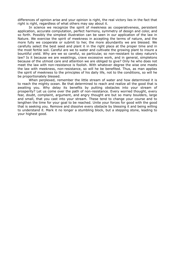differences of opinion arise and your opinion is right, the real victory lies in the fact that right is right, regardless of what others may say about it.

 In science we recognize the spirit of meekness as cooperativeness, persistent application, accurate computation, perfect harmony, symmetry of design and color, and so forth. Possibly the simplest illustration can be seen in our application of the law in Nature. We exercise the spirit of meekness in accepting the terms of nature, and the more fully we cooperate or submit to her, the more abundantly we are blessed. We carefully select the best seed and plant it in the right place at the proper time and in the most fertile soil. Careful are we to water and cultivate the growing plant to insure a bountiful yield. Why are we so careful, so particular, so non-resistant to obey nature's law? Is it because we are weaklings, crave excessive work, and in general, simpletons because of the utmost care and attention we are obliged to give? Only he who does not meet the law with non-resistance is foolish. With whatever degree the wise one meets the law with meekness, non-resistance, so will he be benefited. Thus, as man applies the spirit of meekness to the principles of his daily life, not to the conditions, so will he be proportionately blessed.

 When perplexed, remember the little stream of water and how determined it is to reach the mighty ocean. Be that determined to reach and realize all the good that is awaiting you. Why delay its benefits by putting obstacles into your stream of prosperity? Let us come over the path of non-resistance. Every worried thought, every fear, doubt, complaint, argument, and angry thought are but so many boulders, large and small, that you cast into your stream. These tend to change your course and to lengthen the time for your goal to be reached. Unite your forces for good with the good that is seeking you. Remove and dissolve every obstacle by blessing it and being willing to understand it. Mark it no longer a stumbling block, but a stepping stone, leading to your highest good.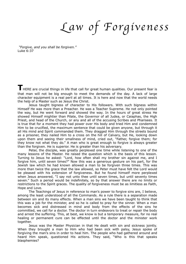L*aw o f Forgiv en e s*s

 *"Forgive, and you shall be forgiven."*  Luke 6:37

**T**<br>**T**HERE are crucial things in life that call for great human qualities. Our present fear is that man will not be big enough to meet the demands of the day. A lack of large character equipment is a real peril at all times. It is here and now that the world needs the help of a Master such as Jesus the Christ.

 Jesus taught bigness of character to His followers. With such bigness within Himself He was more than a Preacher. He was a Teacher Supreme. He not only pointed the way, but He went forward and showed the way. In the hours of great stress He showed Himself mightier than Pilate, the Governor of all Judea, or Caiaphas, the High Priest, and head of the Church, or any and all of the accusing Scribes and Pharisees. It is true that for a moment they had power over His body and tried Him and condemned Him to be crucified, the maximum sentence that could be given anyone, but through it all His mind and Spirit commanded them. They dragged Him through the streets bound as a prisoner, they nailed Him to a cross on the hill of Calvary, but He, looking down upon them and seeing their smallness of mind, cried out, "Father, forgive them; for they know not what they do." A man who is great enough to forgive is always greater than the forgiven. He is superior. He is greater than his adversary.

 Peter, the disciple, was greatly perplexed one time while listening to one of the many lessons of the Master. He raised the question which is the basis of this lesson. Turning to Jesus he asked: "Lord, how often shall my brother sin against me, and I forgive him, until seven times?" Now this was a generous gesture on his part, for the Jewish law which he had known allowed a man to be forgiven three times. This was more than twice the grace that the law allowed, so Peter must have felt the Lord would be pleased with his extension of forgiveness. But he found himself more perplexed when Jesus answered, "I say not unto thee until seven times, but until seventy times seven." Such a period would be indefinitely, so by that answer there are no limits or restrictions to the Spirit graces. The quality of forgiveness must be as limitless as Faith, Hope and Love.

 The Teachings of Jesus in reference to man's power to forgive sins are, I believe, among the least understood of all the Commands. As a rule there is a separation made between sin and its many effects. When a man sins we have been taught to think that this was a job for the minister, and so he is called to pray for the sinner. When a man becomes sick and distressed in mind and body from the effects of the sins he committed, we call for a doctor. The doctor in turn endeavors to treat or repair the body and arrest the suffering. This, at best, we know is but a temporary measure, for no real healing or permanent cure can be effected until the doctor and the minister work together.

 Jesus was the Master Physician in that He dealt with sin and sickness jointly. When they brought a man to Him who had been sick with palsy, Jesus spoke of forgiving the man's sins in order to heal him. The people who had gathered around and heard Him speak, questioned His actions. They said, "Who is this that speaks blasphemies?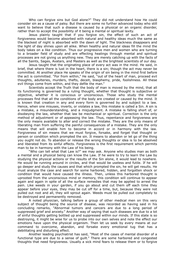Who can forgive sins but God alone?" They did not understand how He could consider sin as a cause of palsy. But there are some no further advanced today who still want to believe that such a disease is caused by a physical or an organic disorder, rather than to accept the possibility of it being a mental or spiritual laxity.

 Jesus plainly taught that if you forgive sin, the effect of such an act of forgiveness would become absorbed with natural and healthy ideas much the same as the blackest of night is absorbed with the dawn of light. The blackness disappears and the light of day shines upon all alike. When healthy and natural ideas fill the mind the body takes on a like condition. Thus our progressive men and women who are turning to a broader field of study and are effecting healings through mental and spiritual processes are not giving us anything new. They are merely catching up with the facts of all the Saints, Sages, Avatars, and Masters as well as the brightest scientists of our day.

 Jesus taught that the originating place of every act was in the mind. He said, in brief, that where there is lust in the heart, there is a sin; though the act may never be committed. At another place He speaks of the origin of sin being in the mind first before the act is committed. "For from within," He said, "out of the heart of man, proceed evil thoughts, adulteries, murders, thefts, deceit, blasphemy, pride, foolishness. All these evil things come from within, and they defile the man."

 Scientists accept the Truth that the body of man is moved by the mind, that all its functioning is governed by a ruling thought, whether that thought is subjective or objective, whether it is conscious or unconscious. Those who study the mental processes find that all the conditions of the body are created or caused by the mind. It is known that creation in any and every form is governed by and subject to a law. Hence, when one misuses, inverts, or violates a law, this mistake is called a Sin. A sin is a mistake, a misunderstanding, and a misjudgment. A mistake is falling short of, or disobeying the law, whether that law be mechanical or spiritual. Correction is the only method of adjustment or of appeasing the law. Thus, repentance and forgiveness are the only means available to alter and correct the mistake. They are the only means of liberating man from suffering the painful consequences of a mistake. They are the only means that will enable him to become in accord or in harmony with the law. Forgiveness of sin means that we must forgive, forsake, and forget that thought or person or condition which prompted the sin. It means to abandon or let go of the thing you ought not do. To abandon or release the wrong thoughts or idea is to be absolved and liberated from its sinful effects. Forgiveness is the first requirement which permits man to be in harmony with the Law of his being.

 "Who can tell what that Law is?" we may ask. Anyone who studies man as both a mental and a physical being can know the Law. If he were to try to learn the Law by studying the physical actions or the results of the Sin alone, it would lead to nowhere. He would be running around in circles, and that would be useless and futile. If he will go deeper and study the causes and that which prompted the sin, he will get results. He must analyze the case and search for some harbored, hidden, and forgotten shock or condition that would have caused the illness. Then, unless this harbored thought is uprooted from the unconscious mind or memory, this condition will continue to appear again and again in spite of all the surface remedies that may be applied to arrest the pain. Like weeds in your garden, if you go about and cut them off each time they appear before your eyes, they may be cut off for a time, but, because they were not pulled out root and all, they will sprout again. Weeds must be pulled out completely to be destroyed and permanently removed.

 A noted physician, talking before a group of other medical men on this very subject of thought being the source of disease, was recorded as having said in his concluding remarks, "Abnormal tumors and cancers are due to a long period of suppressed grief and anxiety." Another way of saying that such diseases are due to a lot of sinful thoughts getting bottled up and suppressed within our minds. If this state is so destroying, it might be wise for us to probe into our own selves and note the effect our emotions have upon the physical organism. Then let us seek by every means at our command to overcome, abandon, and forsake every emotional tug that has a debilitating and disturbing effect.

 Another leading psychiatrist has said, "Most of the cases of mental disorder of a functional type are due to a sense of guilt." There are some harbored and congested thoughts that need forgiveness. Usually a sick mind fears to release them or to forgive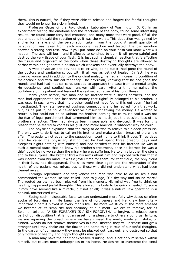them. This is natural, for if they were able to release and forgive the fearful thoughts they would no longer be sick- minded.

 Professor Gates of the Psychological Laboratory of Washington, D. C., in an experiment testing the emotions and the reactions of the body, found some interesting results. He found some forty bad emotions, and many more that were good. Of all the bad emotions he said the reaction of guilt was the worst. This deduction was gained by a chemical analysis of the perspiration taken from the body. A small quantity of perspiration was taken from each emotional reaction and tested. The bad emotion showed a strong acid test. Now if you put some acid on your flesh you know what will happen. The acid will burn, and if allowed to continue to burn it will prove painful and destroy the very tissue of your flesh. It is just such a chemical reaction that is affecting the tissue and organism of the body when these destroying thoughts are allowed to harbor within and generate a poison which weakens and eventually destroys the body.

 A wise physician one day had a caller who, as he put it, had gone the round of the doctors and sanitariums, but with it all was as yet not healed. In fact, he was growing worse, and in addition to the original malady, he had an increasing condition of melancholia and with suicidal tendency. The physician, knowing that he had gone the rounds and had had medical care, decided to approach the case from a mental angle. He questioned and studied each answer with care. After a time he gained the confidence of his patient and learned the real secret cause of his long illness.

 Many years before, this man and his brother were business partners, and the man had appropriated and lost some money that rightfully belonged to his brother. It was used in such a way that his brother could not have found this out even if he had investigated. They later severed business connections and he retired from that work, but, as he put it, he could never forgive himself for taking the money. He wanted to return it, but could not do so without the brother learning the truth. He said it was not the fear of legal punishment that tormented him so much, but the possible loss of his brother's affection. They had always been inseparable and devoted. It was for this reason that he feared to confess his guilt and make amends in whatever way he could.

 The physician explained that the thing to do was to relieve this hidden pressure. The only way to do it was to call on his brother and make a clean breast of the whole affair. The patient, not equal to the suggestion, went home to think it over. Three days later he called the physician, stating that he had spent three dreadful days and sleepless nights battling with himself, and had decided to visit his brother. He was in such a mental state that he knew his brother's treatment, once he learned he was a thief, could be no worse than the misery he was suffering. He told his brother the story, and to his surprise, the brother threw his arms about him and rejoiced with him that it was cleared from his mind. It was a joyful time for them, for that cloud, the only cloud in their lives, had disappeared. The skies were clear again and the restoration of the health of the patient was miraculous to those who did not understand what had been cleared away.

 Through repentance and forgiveness the man was able to do as Jesus had commanded the woman He was called upon to judge, "Go thy way and sin no more." The rooted sorrow had been plucked from his memory. His mind was free to think on healthy, happy and joyful thoughts. This allowed his body to be quickly healed. To some it may have seemed like a miracle, but not at all; it was a natural law operating in a natural, unrestricted way.

 Facing such indisputable facts we can understand more fully why Jesus so often spoke of forgiving sin. He knew the law of forgiveness and He knew how vitally important a part it played in every man's life. The more we study it, the more amazed we become at its simplicity and accuracy of fulfillment. We are to forsake, for as Solomon tells us, "A SIN FORSAKEN IS A SIN FORGIVEN," to forgive, to release some part of our disposition that is not an asset nor a pleasure to others around us. In turn, we are repairing the breach where we have missed the mark, made a mistake, or sinned. Weeds do not remove themselves in time. Instead they will increase and grow stronger until they choke out the flower. The same thing is true of our sinful thoughts. In the garden of our memory they must be plucked out, cast out, and destroyed so that only flowers of healthy and happy thoughts may grow.

 A man may have the habit of excessive drinking, and is not only miserable within himself, but causes much unhappiness in his home. He desires to overcome the sinful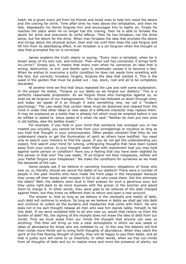habit. He is given every aid from his friends and loved ones to help him resist the desire and the craving for drink. Time after time he rises above the temptation, and then he fails. Repeatedly his family forgives him and encourages him to battle on. Finally he reaches the place when he no longer has the craving, then he is able to forsake the desire for drink and overcome its sinful effects. Then he has forsaken, not the drink alone, but the desire for the drink. When man forsakes the idea that prompts the desire and brings about the physical action, then and not until then does the Law forgive and lift him from its debilitating effect. A sin forsaken is a sin forgiven when the thought or idea that prompted the sin is corrected.

 James explains the truth clearly in saying, "Every man is tempted, when he is drawn away of his own lust, and enticed. Then when lust has conceived, it brings forth sin.(error)" Simply put, it means that every man when he conceives an idea that is wrong, destructive, or evil, and dwells upon it, eventually causes it to become a fact. When he wishes to overcome a sinful condition he does not waste time wrestling with the fact, but corrects, forsakes, forgets, forgives the idea that started it. This is the weed in the garden that must be pulled out - top, stock, root and all to be completely discarded.

 At another time we find that Jesus repeated the Law and with some explanation. In His prayer He states, "Forgive us our debts as we forgive our debtors." This is a perfectly reasonable proposition. As we forgive those who transgress against us, so shall we be forgiven of our transgressions. This law has followed us down through time, and today we speak of it as though it were something new, we call it "modern psychology." The Law reads that certain ideas must be dissolved and cleared from the mind in order that other ideas or new ideas of a different character may replace them. It may be explained as a bottle that is already full which must be emptied before it can be refilled or added to. Jesus spoke of it when He said: "Neither do men put new wine in old bottles, else the bottles break."

 For example, if you hold in your mind that someone has wronged you or has treated you unjustly, you cannot be free from your wrongdoings or injustice so long as you hold that thought in your consciousness. Often people complain that they do not understand clearly or get the illumination of spirit as others have testified. You need only to search your memory to find the cause. If you do not get the understanding you expect, first search your mind for lurking, unforgiving thoughts that have been tucked away from your notice. Is your thought realm filled with resentment that you may hold against some person or condition? Have you a feeling that you have been slighted by this person or that one? The Law reads, "If ye forgive not their trespasses, neither will your Father forgive your trespasses." We make the conditions for ourselves as we meet the demands of the Law.

 Some people ask if we believe in canceling monetary obligations of those who owe us, or, literally, should we cancel the debts of our debtors? There were a number of people in the past months who have made the front page in the newspaper because they wrote off their books with receipts in full to all who owed them. Did this eliminate the debts? Well, the debtors were loud in their praises for such a generous soul, but they came right back to do more business with the grocer or the butcher and asked them to charge it. In other words, they were glad to be relieved of the debt charged against them, but they knew no different than to return and open a new account.

 The answer is, that so long as we believe in the necessity and reality of debt, such debt will continue to endure. So long as we believe in debts we shall get into debt and continue to collect all the burdens and headaches that come with them. He who does not in his own thought release all men who owe him stands liable, himself, to fall into debt. If we send receipted bills to all who owe us, would that relieve us from the burden of debt? No, the signing of the receipts does not erase the idea of debt from our minds. First we must erase from our minds the thought that anyone can owe us anything. This then will bring us into a clear atmosphere in which we sow seeds or ideas of abundance for those who are indebted to us. In this way the debtors will find their minds more fertile soil to bring forth thoughts of abundance. When they catch the spirit of the free flowing thought of plenty, they will be happy to pay their debts, and all that is justly ours will come to us cheerfully. In other words, when we free our minds from all thoughts of debt and try to realize more and more the presence of plenty, we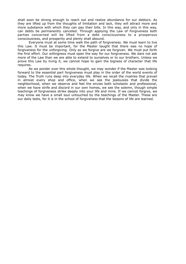shall soon be strong enough to reach out and realize abundance for our debtors. As they are lifted up from the thoughts of limitation and lack, they will attract more and more substance with which they can pay their bills. In this way, and only in this way, can debts be permanently canceled. Through applying the Law of Forgiveness both parties concerned will be lifted from a debt consciousness to a prosperous consciousness, and prosperity and plenty shall abound.

 Everyone must at some time walk the path of forgiveness. We must learn to live this Law. It must be important, for the Master taught that there was no hope of forgiveness for the unforgiving. Only as we forgive are we forgiven. We must put forth the first effort. Our willingness must open the way for our forgiveness. We dare not ask more of the Law than we are able to extend to ourselves or to our brothers. Unless we prove this Law by living it, we cannot hope to gain the bigness of character that life requires.

 As we ponder over this whole thought, we may wonder if the Master was looking forward to the essential part forgiveness must play in the order of the world events of today. The Truth runs deep into everyday life. When we recall the rivalries that prevail in almost every shop and office, when we see the jealousies that divide the neighborhood, when we observe and feel the envies both scholastic and professional, when we have strife and discord in our own homes, we see the solemn, though simple teachings of forgiveness strike deeply into your life and mine. If we cannot forgive, we may know we have a small soul untouched by the teachings of the Master. These are our daily tests, for it is in the school of forgiveness that the lessons of life are learned.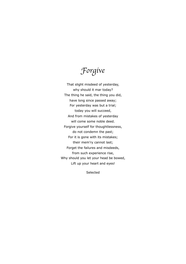## F*orgive*

That slight misdeed of yesterday, why should it mar today? The thing he said, the thing you did, have long since passed away; For yesterday was but a trial; today you will succeed, And from mistakes of yesterday will come some noble deed. Forgive yourself for thoughtlessness, do not condemn the past; For it is gone with its mistakes; their mem'ry cannot last; Forget the failures and misdeeds, from such experience rise, Why should you let your head be bowed, Lift up your heart and eyes!

Selected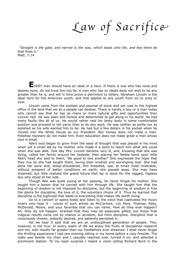L*aw o f Sacrific*e

 *"Straight is the gate, and narrow is the way, which leads unto life, and few there be that finds it."* Matt. 7:14

**E**VERY man should have an ideal or a hero. If there is one who has none and desires none, do not trust him too far. A man who has no ideals does not wish to be any greater than he is, and will in time prove a detriment to others. Abraham Lincoln is the ideal hero for the American youth, and that applies to any youth from six to sixty or over.

 Lincoln came from the lowliest and poorest of stock and yet rose to the highest office in the land that we as a people can bestow. There is hardly a boy or a man today who cannot say that he has as many or more natural gifts and opportunities than Lincoln had. He was plain and honest and determined to get along in his world. He had many faults like all of us. He would rather rest his lanky body in some comfortable position and proceed to tell yarns than to do any work. He was neither as polite nor as polished as his wife wanted him to be. He had but a few dollars in his pocket when he moved into the White House as our President. But money does not make a man. Polished manners do not make him. Even education does not make great a man whose soul is small.

 Abe's soul began to grow from the seed of thought that was placed in his mind when yet a small lad by his mother, who made it a point to teach him what she could when she was able. One day Mrs. Lincoln became very ill, and, knowing that she was dying, called her family around her bedside, then placing her feeble hand upon little Abe's head she said to them, "Be good to one another." She expressed the hope that they live as she had taught them, loving their kindred and worshiping God. She had done her work and, stoop-shouldered, thin breasted, sad, at times most miserable, without prospect of better conditions on earth, she passed away. She may have dreamed, but little realized the grand future that lay in store for the ragged, hapless boy who stood at her side.

 Though Abe was quite young at her passing, he never forgot his mother. She taught him a lesson that he carried with him through life. She taught him that the beginning of wisdom is not imposed by discipline, but the beginning of wisdom is first the desire for discipline, the love of it, the voluntary choice of it. Thus he learned that discipline is the highroad that leads to everything that makes life worth living.

 Go to a concert or opera today and listen to the voice that captivates the music lovers who hear it - voices of such artists as McCormick, Lily Pons, Thomas, Eddy, McDonald, Moore, and your favorites that you can name. How do they ever happen? Ah, they do not happen. Granted that they may be especially gifted, but those final magical results come not by chance or accident, but from discipline. Discipline that is consciously chosen, ardently desired, and patiently persisted in.

 Yet we hear it said that we are an undisciplined generation of people. This, however, is not true. In every realm of life we enjoy the fruits of disciplined research and toil, with results far greater than our forefathers ever dreamed. I shall never forget the thrilling experience I had one evening sitting in my home before a cozy fireside. The radio was beside my chair and I casually reached over, turned it on, and selected a prominent station. To my keen surprise I heard a voice calling Richard Byrd in the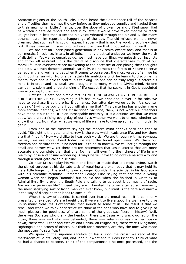Antarctic regions at the South Pole. I then heard the Commander tell of the hazards and difficulties they had met the day before as they unloaded supplies and hauled them to their new home, Little America, over the slope of broken ice and drifted snow. Had he written a detailed report and sent it by letter it would have taken months to reach us, yet here in less than a second his voice vibrated through the air and I, like many others, heard him report the happenings of the day. The old miracle workers never dreamed that such as this could happen. Happen - that is not the word; discipline - that is it. It was painstaking, scientific, technical discipline that produced such a result.

 We are not an undisciplined generation in any realm except one, and that is in our morals. In science, in art, in athletics, in any practical endeavor we know the worth of discipline. Yet we let ourselves go, we must have our fling, we unleash our instincts and throw off restraint. It is the denial of discipline that characterizes much of our moral life. Men everywhere are awakening to the necessity of disciplining their thoughts and acts. We train domestic animals carefully, we harness the forces of Nature to serve us regularly and well, and yet when it comes to ourselves, the most valued of all, we let our thoughts run wild. No one can attain his ambitions until he learns to discipline his mental force and is able to control his thinking. No one can be truly religious before his mind is in order and his ideals are brought in harmony with the Divine mind. No one can gain wisdom and understanding of life except that he seeks it in God's appointed way according to the Law.

 First let us note one simple fact. SOMETHING ALWAYS HAS TO BE SACRIFICED FOR SOMETHING ELSE. Everything in life has its own price and is ever up for sale. We have to purchase it at the price it demands. Day after day we go up to life's counter and say, "I will give you this if you will give me that." This bartering has another name more familiar perhaps; we call it "sacrifice." Sacrifice, then, is not what our preachers have made it out to be. It is an inescapable necessity. It is a definite law that we must obey. We are sacrificing every day of our lives whether we want to or not, whether we know it or not. No matter what we want of life we have to give up something in order to get it.

 From one of the Master's sayings the modern mind shrinks back and tries to avoid. "Straight is the gate, and narrow is the way, which leads unto life, and few there are that finds it." How we dislike to hear such words. We are through with narrowness, we say. We are more liberal today, we want the broad open ways. We claim our freedom and declare there is no need for us to be so narrow. We will not go through the small and narrow way. Yet there are few statements that Jesus uttered that are more accurate and complete than that one. No man will ever find the richness of life in any realm by loose and casual wandering. Always he will have to go down a narrow way and through a strait gate called discipline.

 Go hear Kreisler play his violin and listen to music that is almost divine. Watch the skilled surgeon at his delicate task of repairing a broken body that it may hold its life a little longer for the soul to grow stronger. Consider the scientist in his laboratory with his scientific formulas. Remember George Eliot saying that she was a young woman when she began "Romola" but an old one when she finished it. Or think of Admiral Byrd flying over the South Pole and talking to us about it by means of radio. Are such experiences life? Indeed they are. Liberated life of an attained achievement, the most satisfying sort of living man can ever know, but strait is the gate and narrow is the way of discipline that leads to such a life.

 When this law of sacrifice is carried over into the moral realm, it is commonly presented one- sided. We are taught that if we want to live a good life we have to give up so many pleasures. How familiar that sounds to some of us. The result is that we rebel, and when we think of sacrifice we think of the ones who have had to give up so much pleasure for goodness. Who are some of the great sacrificers in history? Well, there was Socrates who drank the hemlock; there was Jesus who was crucified on the cross; there was Paul who was beheaded; there was Peter who was crucified upside down; there was Luther and Wesley and Calvin, all religionists; there were Livingstone, Nightingale and scores of others. But think for a moment, are they the ones who made the most terrific sacrifices?

 We speak of the supreme sacrifice of Jesus upon the cross; we read of the martyrdom of Saints Peter, Paul, and John but what about Judas Iscariot? Think of what he had a chance to become. Think of the companionship he once possessed, and the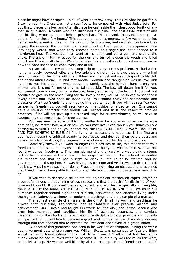place he might have occupied. Think of what he threw away. Think of what he got for it. I say to you, the Cross was not a sacrifice to be compared with what Judas paid. For but thirty pieces of silver and utter disgrace he cast aside the richest opportunity of any man in all history. A youth who had disdained discipline, had cast aside restraint and had his fling wrote as he sat behind prison bars, "A thousand, thousand times I have paid in full for those few hours." This young man and his nephew, a few years his junior, had attended a revival meeting in a town not far from me, and on their way home they argued the question the minister had talked about at the meeting. The argument grew into angry words, and when they reached home this anger had been fanned to a murderous heat. The younger man went to his room, and got a gun, and shot at the uncle. The uncle in turn wrestled for the gun and turned it upon the youth and killed him. I say this is costly living. We should take this earnestly unto ourselves and realize how the word sacrifice touches every one of us.

 A man called at my office seeking help in a very serious problem. He had a fine home, a lovely, devoted wife, and two splendid children. It is true that the wife had taken up much of her time with the children and the husband was going out to his club and social affairs alone. He had met another woman and thought he was in love with her. This was his problem, what about the family and the home? There is only one answer, and it is not for me or any mortal to decide. The Law will determine it for you. You cannot have a lovely home, a devoted family and enjoy loose living. If you will not sacrifice or give up the loose living for the lovely home, you will be forced to sacrifice a lovely home and loved ones for loose living. You cannot enjoy the satisfactions and pleasures of a true friendship and indulge in a bad temper. If you will not sacrifice your temper for friendships, you will sacrifice your friendships for a bad temper. One cannot have a sterling character that friends will respect and trust and resort to crooked practices. If he will not give up his crooked ways for trustworthiness, he will have to sacrifice his trustworthiness for crookedness.

 You may ever be sure of this: no matter how far you may go before the rope gets tight, no matter how wild or how lax you may live, even though you think you are getting away with it and do, you cannot fool the Law. SOMETHING ALWAYS HAS TO BE PAID FOR SOMETHING ELSE. All fine living, all success and happiness is like fine art; you must choose the spiritual beauty to be created and desired, then go the strait and narrow way to gain it. For, the beginning of wisdom is first the desire of discipline.

 Some say then, if you want to enjoy the pleasures of life, this means that your freedom is impossible. It means on the contrary that you, who think this, have not found what real freedom is. This reminds me of a drunkard who was giving a stump lecture to the amusement of a few on the subject of freedom. He declared he wanted his freedom and that he had a right to drink all the liquor he wanted and no government could stop him. He was having his freedom and yet he was so drunk he did not know what he was saying or doing. Freedom is not living an obsessed, undisciplined life. Freedom is in being able to control your life and in making it what you want it to be.

 If you wish to become a skilled athlete, an efficient teacher, an expert lawyer, or a beautiful singer, the beginning of such success is first the desire for discipline of your time and thought. If you want that rich, radiant, and worthwhile specialty in living life, the rule is just the same. AN UNDISCIPLINED LIFE IS AN INSANE LIFE. We must pull ourselves together around high ideals of clean, serviceable, and effective living under the highest leadership we know, or under the teachings and the example of a master.

 The highest example of a master is the Christ. In all His work and teachings He proved that discipline, self-control, and self-mastery ever precede wisdom and achievement. Mrs. Lincoln had taught His words to little Abe, and it was because Abe grew into manhood and sacrificed his life of laziness, looseness, and careless meanderings for the strait and narrow way of a disciplined life of principle and honesty and justice that caused him to become a great soul. It was the law of sacrifice working through him that enabled him to become the President and Savior of a great Nation.

 Evidence of this greatness was seen in his work at Washington. During the war a young Vermont boy, whose name was William Scott, was sentenced to face the firing squad for being found asleep at his post. Now it wasn't Scott's post but that of his buddy whom he had relieved when he became ill. Double duty was too much for Scott, so he fell asleep. He was so well liked by all that his captain and friends appealed his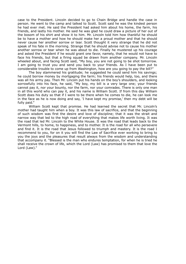case to the President. Lincoln decided to go to Chain Bridge and handle the case in person. He went to the camp and talked to Scott. Scott said he was the kindest person he had ever met. He said the President had asked him about his home, the farm, his friends, and lastly his mother. He said he was glad he could draw a picture of her out of the bosom of his shirt and show it to him. Mr. Lincoln told him how thankful he should be to have a mother and how he should make her a proud mother and that he should never cause her another sorrow or tear. Scott thought it very strange that he did not speak of his fate in the morning. Strange that he should advise not to cause his mother another sorrow or tear when he was about to die. Finally he mustered up his courage and asked the President if he would grant one favor, namely, that he would not have to face his friends, but that a firing squad be drawn from another company. Mr. Lincoln wheeled about, and facing Scott said, "My boy, you are not going to be shot tomorrow. I am going to trust you and send you back to your friends. As I have been put to considerable trouble to come up from Washington, how are you going to pay the bill?"

 The boy stammered his gratitude; he suggested he could send him his savings; he could borrow money by mortgaging the farm; his friends would help, too, and there was all his army pay. Then Mr. Lincoln put his hands on the boy's shoulders, and looking sorrowfully into his face, he said, "My boy, my bill is a very large one; your friends cannot pay it, nor your bounty, nor the farm, nor your comrades. There is only one man in all this world who can pay it, and his name is William Scott. If from this day William Scott does his duty so that if I were to be there when he comes to die, he can look me in the face as he is now doing and say, 'I have kept my promise,' then my debt will be fully paid."

 William Scott kept that promise. He had learned the secret that Mr. Lincoln's mother had taught him when a boy. It was this law of sacrifice, and that the beginning of such wisdom was first the desire and love of discipline; that it was the strait and narrow way that led to the high road of everything that makes life worth living. It was the road that led Mr. Lincoln to the White House. It was the road that leads back to the Vermont hills, to home, to happiness, and to mother. It is the road for all who persevere and find it. It is the road that Jesus followed to triumph and mastery. It is the road I recommend to you, for on it you will find the Law of Sacrifice ever working to bring to you the joys and the pleasures that result always from the wisdom and understanding that accompany it. "Blessed is the man who endures temptation, for when he is tried he shall receive the crown of life, which the Lord (Law) has promised to them that love the Lord (Law)."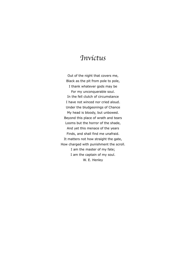## I*nvictus*

Out of the night that covers me, Black as the pit from pole to pole, I thank whatever gods may be For my unconquerable soul. In the fell clutch of circumstance I have not winced nor cried aloud. Under the bludgeonings of Chance My head is bloody, but unbowed. Beyond this place of wrath and tears Looms but the horror of the shade, And yet this menace of the years Finds, and shall find me unafraid. It matters not how straight the gate, How charged with punishment the scroll. I am the master of my fate; I am the captain of my soul. W. E. Henley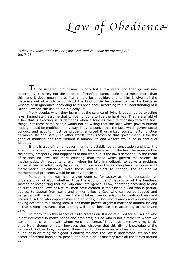L*aw o f Obedienc*e

 *"Obey my voice, and I will be your God, and you shall be my people."*  Jer. 7:23

**T**O be ushered into turmoil, blindly toil a few years and then go out into uncertainty, is surely not the purpose of Man's existence. Life must mean more than this, and it does mean more. Man should be a builder, and to him is given all the materials out of which to construct the kind of life he desires to live. He builds in wisdom or in ignorance, according to his obedience, according to his understanding of a Divine Law and the use of it in his daily life.

 Many people, when they learn that the science of living is governed by exacting laws, immediately assume that to live rightly is to live the hard way. They are afraid of a law that is exacting in its demands when it touches their relationship with the finer things. Yet these same people would not be willing that the laws which govern human society should be modified in any way. They recognize that the laws which govern social conduct and activity must be properly enforced if organized society is to function harmoniously and safely. In other words, they recognize that government is for the good of mankind and that without it human life and welfare would be in continual jeopardy.

 If this is true of human government and established by constitution and law, it is even more true of divine government. And the more exacting the law, the more certain the safety, prosperity, and happiness of him who fulfills the law's demands. In the realm of science no laws are more exacting than those which govern the science of mathematics. An accountant, even when he fails immediately to solve a problem, knows it can be solved only by calling into operation the exacting laws that govern all mathematical calculations. Were those laws subject to change, the solution of mathematical problems would be utterly hopeless.

 Perhaps in no way has religion gone so far astray as in its conception or understanding of God, whether it be the God of the Christians or of the heathen. Instead of recognizing that the Supreme Intelligence is Law, operating according to and as surely as the Laws of Nature, men have created in their ideas a God who is partial, subject to appeal from saint and sinner alike; a God who can be persuaded and bargained with; a God who gives life and takes it away; a God who heals sickness and causes it; a God who impoverishes and enriches; a God who rewards and punishes; and having accepted this wrong idea, it has made prayer largely a matter of doubts, lacking in that strong assurance that a thing will be so because it is according to the Divine Law.

 To many folks this aspect of truth creates an illusion of a God for all; a God who is not interested in man's needs and problems; a God who is not a father to whom we can take our cares and with whom we can converse. "They have taken away my Lord," cried Mary. Sooner or later, however, they discover that this divine knowledge of the nature of God, as Law, has given them their Lord in a sense so close and intimate that all doubt in claiming their good is ended; for once the Law is understood, we hold the secret of eternal happiness, peace, and dominion or mastery over all the forces around us.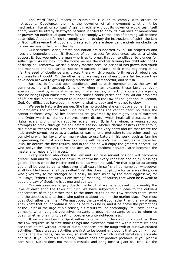The word "obey" means to submit to rule or to comply with orders or instructions. Obedience, then, is the governor of all movement whether it be mechanical, literal, or spiritual. A giant machine without its governor would tear itself apart, would be utterly destroyed because it failed to obey its own laws of momentum or gravity. An intellectual giant who fails to comply with the laws of learning will become as an idiot. A student failing to comply with or to obey the instructions of spirit, the Law of God, will reverse that good and create evil. We are dependent entirely on obedience for our success or failure in this life.

 Our societies, cities, states and nation are supported by it. Our properties and lives are dependent upon it. Because of our respect for obedience, we, as a whole, support it. But woe unto the man who tries to break through to pillage, to plunder for selfish gain. As we look into the home we see the mother training her child into habits of discipline. Tomorrow we see a happy mother because her child has grown into youth and manhood and has earned success. A success because, back in the beginning of his life, the seed of obedience was placed there which brought forth respect, obedience, and unselfish thought. On the other hand, we may see where others fail because they have been allowed to grow up being disobedient, disrespectful, and selfish.

 Business is founded upon obedience, and as each member obeys the laws of commerce, he will succeed. It is only when man expands these laws by overspeculation, and by wild-cat schemes, inflated values, or lack of cooperative agency, that he brings upon himself failures and causes bankruptcies and loss. All our problems of life are due in some measure to our obedience to the Law of Thought and its Creator, God. Our difficulties have been in knowing what to obey and what not to obey.

 We see in Nature the answer. She has no troubles she cannot overcome. She has no problems she cannot solve. She has no burdens she cannot bear; no tasks she cannot perform. Why? All her operations are governed by the mighty Law of Harmony and Order which constantly removes every discord, which heals all diseases, which rights every wrong, which supplies every need. If, in the winter, a young sprout attempts to break through the soil before season, Mother Nature destroys that sprout, rills it off or freezes it out. Yet, at the same time, the very snow and ice that freeze the little unruly sprout, serve as a blanket of warmth and protection to the other seedlings complying with her laws. When man wishes to use Nature in his work, such as farming or gardening, he must know how to comply with Nature's law. In turn, as he obeys her laws, he derives the best results, and in the end he will enjoy the greatest harvest. He who obeys the laws of Nature and acts as her obedient servant, later becomes the master and reaps a full harvest.

 Every student who obeys the Law and is a true servant of Good will become a greater soul and will reap the power to control his every condition and enjoy blessings galore. This is what the Master tried to tell us when he said, "He that is greatest among you shall be your servant; whosoever shall exalt himself shall be humbled; whosoever shall humble himself shall be exalted." Yet this does not picture for us a weakling, one who gives way to the stronger or is easily brushed aside by the more aggressive, for Paul says, "When I am weak, I am strong," meaning, of course, that when he is weak to obey the Law of Good, he is strong and spirited.

 Our mistakes are largely due to the fact that we have obeyed more readily the laws of earth than the Laws of Spirit. We have subjected our ideas to the outward appearances of things rather than to the inner truths as the Law teaches them. Peter and the apostles said to those who gathered about them in the market place, "We must obey God rather than man." We must obey the Law of Good rather than the law of man. They knew that an individual is only as he thinks he is, and if he obeys the promptings of the Spirit or the urge of his senses, his results will be accordingly. Paul says, "Know ye not to whom ye yield yourselves servants to obey, his servants ye are to whom ye obey; whether of sin unto death or obedience unto righteousness."

 If we are to obey the Spirit within us rather than the conditions about us, then the Law requires us to first think things into existence from the within before we shall see them on the without. Most of our experiences are the outgrowth of our own created activities. These created activities are first to be bound in thought that we think in our minds. The law reads, "As ye sow, so shall ye reap," which is mathematically accurate and true. If you plant a turnip seed, Nature does not produce potatoes. If you plant a corn seed, Nature does not make a mistake and bring forth a giant oak tree. On the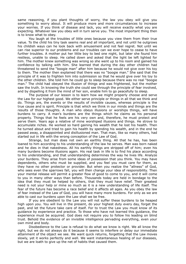same reasoning, if you plant thoughts of worry, the law you obey will give you something to worry about. It will produce more and more circumstances to increase your worries. If you think of disease and lack, you will receive exactly what you are expecting. Whatever law you obey will in turn serve you. The most important thing then is to know what to obey.

 You laugh at the troubles of little ones because you view them from their true value. To the child his tiny task seems real and all important, and not until he outgrows his childish ways can he look back with amusement and not feel regret. Not until we can rise superior to our problems and our troubles can we ever hope to cease to have further troubles. A mother put her little boy to bed one night, but later she found him restless, unable to sleep. He called down and asked that the light be left lighted for him. The mother knew something was wrong so she went up to his room and gained his confidence by talking with him. She learned that during the day other children had threatened to send the "boogie man" after him because he would not give over his toy to them. The mother then explained that there was no "boogie man." She said that the principle of it was to frighten him into submission so that he would give over his toy to the other children. She told him he could go to sleep because there was no real "boogie man." The child had obeyed the illusion of things and was frightened, but the mother saw the truth. In knowing the truth she could see through the principle of fear involved, and by dispelling it from the mind of her son, enable him to go peacefully to sleep.

 The purpose of our lesson is to learn how we might properly choose and serve the Law for our highest good. We either serve principle or things in all that we think and do. Things are, the events or the results of invisible causes, whereas principle is the true cause and is spirit. Principle is that which we think in our minds and things are the results of those thoughts. A man who obeys illusions or worships things, will have burdens to carry. A man's burdens are the things which he claims as his personal property. Things that he feels are his very own and, therefore, he must protect and serve them. Years ago a relative of mine worshiped illusions and things. He strove to accumulate riches. He worked so hard gaining his wealth that he lost his health. Then he turned about and tried to gain his health by spending his wealth, and in the end he passed away, a disappointed and disillusioned man. That man, like so many others, had started out in life with the wrong conception of the Law of God.

 Strange, but man does not own an earthly thing. All that he has, has been loaned to him according to his understanding of the law he serves. Man was born naked and he dies in that nakedness. All his earthly things are stripped off of him; even his many burdens become illusions again. His real task in life is to find his place according to his understanding, and that understanding determines the way he lives life. Analyze your burdens. They arise from some ideas of possession that you think. You may have dependents, others who must be supplied, and you feel you must care for them, as they have no other protector or provider. But when you realize the "allness" of God, who sees even the sparrows fall, you will then change your idea of responsibility. Then your mental release will permit a greater flow of good to come to you, and it will come to you in many other ways than before. Thousands today are held in bondage to the idea that they must be helped by others, that they must have relief. Their greatest need is not your help or mine so much as it is a new understanding of life itself. The fear of the future has become a race belief and it affects all ages. As you obey the law of fear instead of the Law of God, you will have many more burdens. For only as we are able to cast our burdens upon the Law shall we be free.

 If you are obedient to the Law you will not suffer these burdens to be heaped high upon you. You will live in the present, do your highest duty every day, forget the past, and let the future take care of itself. For to trust the Law you must know of its guidance by experience and practice. To those who have not learned this guidance, the experience must be acquired. God does not require you to follow his leading on blind trust. Behold the evidence of an invisible intelligence pervading everything, even your own mind and body.

 Disobedience to the Law is refusal to do what we know is right. We all know the right, but we do not always do it because it seems to interfere or delay our immediate attainment of the object we see. We want quick returns, forgetting that the Law moves slowly, yet it works perfectly and well. We want instantaneous healing of our diseases, but we are loath to give up the net of habits that caused them.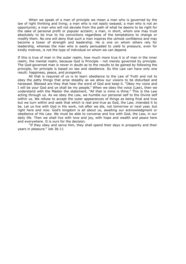When we speak of a man of principle we mean a man who is governed by the law of right thinking and living; a man who is not easily swayed; a man who is not an opportunist; a man who will not deviate from the path of what he deems to be right for the sake of personal profit or popular acclaim; a man, in short, whom one may trust absolutely to be true to his convictions regardless of the temptations to change or modify them. No one will deny that such a man inspires the utmost confidence and may become a tower of strength and leadership. He is one on whom others rely for leadership, whereas the man who is easily persuaded to yield to pressure, even for kindly motives, is not the type of individual on whom we can depend.

If this is true of man in the outer realm, how much more true it is of man in the inner realm, the mental realm, because God is Principle - not merely governed by principle. The God-governed man is never in doubt as to the results to be gained by following the principle, for principle is based on law and obedience. So this Law can have only one result: happiness, peace, and prosperity.

 All that is required of us is to learn obedience to the Law of Truth and not to obey the petty things that arise steadily as we allow our visions to be disturbed and harassed. Blessed are they that hear the word of God and keep it. "Obey my voice and I will be your God and ye shall be my people." When we obey the voice (Law), then we understand with the Master the statement, "All that is mine is thine." This is the Law acting through us. As we obey the Law, we humble our personal self to the Divine self within us. We refuse to accept the outer appearances of things as being final and true but we turn within and seek that which is real and true as God, the Law, intended it to be. Let us live with God in His work, not after we die, not tomorrow or next year, but right here and now. God's kingdom is all about us, awaiting our acknowledgment or obedience of His Law. We must be able to converse and live with God, the Law, in our daily life. Then we shall live with love and joy, with hope and wealth and peace here and everywhere. It is ours for the decision.

 "If they obey and serve Him, they shall spend their days in prosperity and their years in pleasure." Job 36:11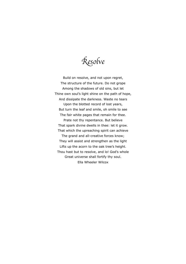R*esolve*

Build on resolve, and not upon regret, The structure of the future. Do not grope Among the shadows of old sins, but let Thine own soul's light shine on the path of hope, And dissipate the darkness. Waste no tears Upon the blotted record of lost years, But turn the leaf and smile, oh smile to see The fair white pages that remain for thee. Prate not thy repentance. But believe That spark divine dwells in thee: let it grow. That which the upreaching spirit can achieve The grand and all-creative forces know; They will assist and strengthen as the light Lifts up the acorn to the oak tree's height. Thou hast but to resolve, and lo! God's whole Great universe shall fortify thy soul. Ella Wheeler Wilcox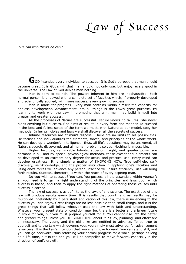L*aw o f Success*

 *"He can who thinks he can."* 

**G**OD intended every individual to succeed. It is God's purpose that man should become great. It is God's will that man should not only use, but enjoy, every good in the universe. The Law of God denies man nothing.

 Man is born to be rich. The powers inherent in him are inexhaustible. Each normal person is endowed with a complete set of faculties which, if properly developed and scientifically applied, will insure success, ever- growing success.

 Man is made for progress. Every man contains within himself the capacity for endless development. Advancement into all things is the Law's great purpose. By learning to work with the Law in promoting that aim, man may build himself into greater and greater success.

 All the processes of Nature are successful. Nature knows no failures. She never plans anything but success. She aims at results in every form and manner. To succeed in the best and fullest sense of the term we must, with Nature as our model, copy her methods. In her principles and laws we shall discover all the secrets of success.

 Infinite resources are at man's disposal. There are no limits to his possibilities. He focuses and individualizes the elements, forces, and principles of the whole world. He can develop a wonderful intelligence; thus, all life's questions may be answered, all Nature's secrets discovered, and all human problems solved. Nothing is impossible.

 Higher faculties, remarkable talents, superior insight, and greater power are dormant in all, and by special psychological methods, these exceptional elements can be developed to an extraordinary degree for actual and practical use. Every mind can develop greatness. It is simply a matter of KNOWING HOW. True self-help, selfdiscovery, self-knowledge, and the proper instruction in applying one's faculties and using one's forces will advance any person. Practice will insure efficiency; use will bring forth results. Success, therefore, is within the reach of every aspiring man.

 Do you wish to succeed? You can. You possess all the essentials within yourself; all you need is to gain a right understanding of the principles and laws upon which success is based, and then to apply the right methods of operating these causes until success is earned.

 The law of success is as definite as the laws of any science. The exact use of this law will produce results every time. It is results that count; and as results may be multiplied indefinitely by a persistent application of this law, there is no ending to the success you can enjoy. Great things are no less possible than small things, and it is the great things that will follow whoever uses the law with faith and understanding. Whatever your present state or condition may be, there is a better and a larger future in store for you, but you must prepare yourself for it. You cannot rise into the better and greater things unless you DO SOMETHING about it. Study, planning, and effort are all necessary. The young and the old alike are entitled to advance. To be true to yourself and to the Law which governs you, you simply must advance, for advancement is success. It is the Law's intention that you shall move forward. You can stand still, and you can go backward, thus retarding your normal progress for a while, perhaps as long as a life time, but in the end you will be compelled to move forward, especially in the direction of soul's growth.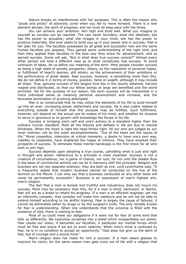Nature brooks no interferences with her purposes. This is often the reason why "prods and pricks" of adversity come when you fail to move forward. There is a new element abroad, the spirit of progress, and we must all keep pace with the times.

 You can achieve your ambition. Aim high and build well. What you imagine to yourself as success can be reached. The Law never blunders; what she idealizes, she has the power to actualize; what she images in your mind, she has the power to produce materially. She ever seeks to build you up in your power and in success; that is her plan for you. The faculties possessed by all great and successful men are the same human faculties you possess. They gained some understanding of the right kind, and then they applied their faculties in the best way they knew for advancement, and so earned success. Some will ask, "But in what does true success consist?" Almost every other person will hold a different view as to what constitutes real success. To avoid confusion of ideas, let us define our meaning of the term. Most people consider success as being a high state of worldly prosperity; others, as the realization of personal hopes, or fulfillment of heart's desires; still others, as the achievement of their ambitions or the performance of great deeds. Real success, however, is something more than this. We do not define it in terms of money, position, fame or wealth, although it may include all these. True, genuine success of the largest kind lies in the results obtained, harvest reaped and distributed, so that our fellow beings at large are benefited and the world enriched. Yet for the purpose of our lesson, the term success will be interpreted in a more individual sense as meaning personal advancement and increase, and the favorable termination of anything attempted.

 Man is so constructed that he may utilize the elements of his life to build himself up into an ever- increasing power, betterment and success. He is also subtly related to everything outside of himself that this purpose may be fulfilled. Such fulfillment, however, will depend on the actual use he makes of his mind, and whether he chooses to serve in ignorance or to govern with knowledge the forces in his life.

 Success is bringing one's self and one's actions to a standard higher than the ordinary human standard. Most all the failures and defeats in life are due to mental blindness. When the heart is right the head thinks right. All our acts are judged by our inner motives, not by the outer accomplishments. "Out of the heart are the issues of life." Moral cowardice, indecision at critical moments, a desire to have one's own way, inability to cooperate, have shattered the hopes of millions. They have wrecked their prospects of success. To eliminate these mental handicaps is the first move for all who wish to aim high.

 Success depends upon adopting a true course, upholding what is just and right in thought and action. Adherence to a principle is most essential. Success is not a creature of circumstance, nor a game of chance, nor luck, for not until the Golden Rule is the basis of commercial activity can we be in harmony with the principle. Religion and business are not two separate sciences; they are both as one. Lord Leverhulme said, "It is frequently stated that modern business cannot be conducted on the line of the Sermon on the Mount. I can only say that a business conducted on any other basis will never be permanently successful." Business is an expression of man's highest aim, man's religion.

 The fact that a man is honest and truthful and industrious does not insure his success. More may be necessary than this, for if a man is timid, backward, or fearful, fear will act as a brake to retard his progress. If a man is an efficient engineer, yet has an inferiority complex, that complex will make him mediocre and he will not be able to extend himself according to his skillful training. Fear is largely the cause of failures; it cannot be eliminated either by drugs or by the surgeon's knife. The only remedy known for fear is understanding. When one understands that the universe is filled with the presence of God, there is nothing to fear.

 Most of us could meet our obligations if it were not for fear of some kind that tells us differently. We hypnotize ourselves into a belief which incapacitates our power. Fear clouds our vision, it benumbs our faculties, it paralyzes our mental forces which must be free and active if we are to avert calamity. When man's mind is confused by fear, he is in no condition to accept an opportunity. "God does not give us the spirit of fear, but of courage and a sound mind."

 Man's religion does not make for him a success. If a man wears glasses to improve his vision, for the same reason man gets more out of life with a religion that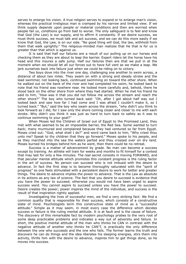serves to enlarge his vision. A true religion serves to expand or to enlarge man's vision, whereas the practical irreligious man is cramped by his narrow and limited view. If we think supply depends upon people or material conditions and then are worried when people fail us, conditions go from bad to worse. The only safeguard is to feel and know that God (the Law) is our supply, and to affirm it constantly. If we desire success, we must think success, we must talk and act success, and we can do this more easily if we know that God, the Law, is on our side. "No good thing will God, the law, withhold from them that walk uprightly." The religious-minded man realizes that He that is for us is greater than that which is against us.

 It is said that half our failures are a result of our pulling up on our horses and checking them as they are about to leap the barrier. Expert riders let the horse have his head and this insures a safe jump. Half our failures then are that we pull in at the moment when we should let all our forces out to have full vent as we make a leap. We jerk ourselves back into failure just when we could be riding on to victory.

 Two boys dove into the river one day, challenging one another to swim across, a distance of about two miles. They swam on with a strong and steady stroke and the lead swimmer, not looking back, continued swimming on toward the other shore. When he walked out on the bank of the river and had completed his swim, he looked back to note that his friend was nowhere near. He looked more carefully and, behold, there he stood back on the other shore from where they had started. When he met his friend he said to him, "How was it that you did not follow me across the stream and reach the other shore?" The boy who turned back said: "Oh, after I got about half way out I looked back and saw how far I had come and I was afraid I couldn't make it, so I turned back." "But," said the boy who swam across the stream, "why didn't you think to look forward as I did, for I saw only the shore coming closer and closer to me with each stroke. Why didn't you think it was just as hard to turn back to safety as it was to continue swimming to your goal?"

 When Moses led the Children of Israel out of Egypt to the Promised Land, they met with what seemed to be an impossible barrier, the Red Sea. Some wanted to turn back; many murmured and complained because they had ventured so far from Egypt. Moses cried out: "God, what shall I do?" and word came back to him, "Why criest thou unto me? Speak to thy children that they go forward." Moses spoke to his people, and as they marched into the sea the waters parted and they crossed over on dry land. Moses burned his bridges behind him as he went, then there could be no retreat.

 Success is a matter of advancement by grade. No man can become a success except by training. An athlete will train for weeks and months to fit himself for a contest that may last for only a few minutes. The real secret consists in moving FORWARD, and that peculiar mental attitude which promotes this constant progress is the ruling factor in the art of success. No person can succeed who is not imbued with the desire to advance. In fact the first step is to become thoroughly saturated with the "spirit of progress" so one feels stimulated with a persistent desire to work for better and greater things. The desire to advance implies the power to advance. That is the Law as absolute in its actions as any law of science. The fact that you desire to succeed is evidence that you have the power to succeed; otherwise you would not have been urged to aspire success ward. You cannot aspire to succeed unless you have the power to succeed. Desire creates the power; power inspires the mind of the individual, and success is the result of that inspiration rightly applied.

 Investigating the lives of successful men, we find a very striking fact: We find a common quality that is responsible for their success, which consists of a constructive state of mind. Psychologists term this constructive state of mind as a "successful attitude." Simple as it may seem, in most every case the difference which decides success or failure is the ruling mental attitude. It is at fault and is the cause of failure. The discovery of this remarkable fact by modern psychology probes to the very root of some deep practicable problems and indicates a way out of adversity and failure. In short, the positive mental attitude of the man who thinks he CAN in contrast with the negative attitude of another who thinks he CAN'T, is practically the only difference between the one who succeeds and the one who fails. The former learns the truth and discovers he can do things and the idea liberates his sleeping energies, stirs them into activity, thrills him with the desire to advance, inspires him to get things done, so he moves into success.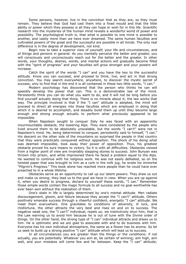Some persons, however, live in the conviction that as they are, so they must remain. They believe that God had cast them into a fixed mould and that the little ability or power which they possess is all they can hope or wish for in this life. Scientific research into the mysteries of the human mind reveals a wonderful world of power and possibility. The psychological truth is, that what is possible to one mind is possible to another, and vastly more than we have ever dreamed. The same human faculties and cultivated powers of the great and the successful are possible in all minds. The only real difference is in the degree of development, not kind.

 Begin now to take a superior view of yourself, your life and circumstances, and of things and persons in general. As you mentally perceive the better and greater, you will consciously and unconsciously reach out for the better and the greater. In other words, your thoughts, desires, words, and mental actions will gradually become filled with the "spirit of progress" and your faculties will grow stronger and your powers will increase.

 Catch the spirit of the words "I can" and you have the key to the successful attitude. Know you can succeed, and proceed to think, live, and act in that strong conviction. You may search everywhere, anywhere, to discover the mystic secret of success, only to find that in the end it is all contained in these two little words, "I can."

 Modern psychology has discovered that the person who thinks he can will speedily develop the power that can. This is a demonstrable law of the mind. Persistently think you can do what you want to do, and it will not be long before you find yourself actually doing that thing. There is no miracle about it; the law works that way. The principle involved is that if the "I can" attitude is adopted, the mind will proceed to direct all energies into those faculties which are employed in doing that which it is desired to accomplish, and steadily build them up until they become large enough and strong enough actually to perform what previously appeared to be impossible.

 When Napoleon sought to conquer Italy he was faced with an apparently insurmountable obstacle, the towering Alps. They were considered by the people who lived around them to be absolutely unscalable, but the words "I can't" were not in Napoleon's mind. He, being determined to conquer, persistently said to himself, "I can." His descent on the other side of the mountains so surprised the people in that country that they were practically conquered without opposition. The shock of his doing what was deemed impossible, took away their power of opposition. Thus, his greatest obstacle proved his sure means to victory. So it is with all difficulties. Obstacles viewed from a higher point of view are invariably stepping stones to success. John Bunyan was thrown into prison, and while imprisoned there he faced a problem equal to the Alps. He wanted to continue with his religious work. He was not easily defeated, so on the twisted paper that was brought to him as a cork in the milk jug, he wrote his immortal "Pilgrim's Progress." This book alone has reached more people than he could have ever preached to in a whole lifetime.

 Obstacles serve as an opportunity to call up our latent powers. They draw us out and make us strong; they lead us to the goal we have in view. When you are up against it, when you desire to progress, declare to yourself these words, "I can." Remember those simple words contain the magic formula to all success and no goal worthwhile has ever been won without the realization of them.

 One's state in life is largely determined by one's mental attitude. Men radiate discouragement, gloom, and failure because they accept the "I can't" attitude. Others positively emanate success through a cheerful confident, energetic "I can" attitude. We meet them everywhere. One gravitates to conditions of adversity, ill luck, and misfortune, the other attracts the very best and rises on and on to success. The negative weak one, the "I can't" individual, repels us; we instinctively shun him; that is the Law warning us to avoid him because he is out of tune with the Divine order of things. On the other hand, the strong type of "I can" individual attracts and draws us to him. He is optimistic and we are glad to associate with and to do business with him. Everyone has his own individual atmosphere, the same as a flower has its aroma. So let us seek to build up a strong positive "I can" attitude which will lead us to success.

 In all circumstances you are greater than the things or the conditions; if not actually, you are potentially. Whatever you aim at, be certain of winning; aim high, aim well, and your mistakes will come few and far between. Keep the "I can" attitude;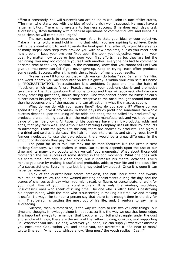affirm it constantly. You will succeed; you are bound to win. John D. Rockefeller states, "The man who starts out with the idea of getting rich won't succeed. He must have a larger ambition. There is no mystery to business success. If he does each day's task successfully, stays faithfully within natural operations of commercial law, and keeps his head clear, he will come out all right."

 The next step is to encompass your life or to state your ideal or your objective. Make a mental picture and hold in mind that which you are aspiring to achieve. Begin with a persistent effort to work towards the final goal. Life, after all, is just like a series of many steps; each step may provide you with new problems, but as you meet each new problem, keep your eye ever fixed upon the top - your objective, your aim, your goal. No matter how crude or how poor your first efforts may be, they are but the beginning. You may not compare yourself with another; everyone has had to commence at some time at the very bottom. In the meantime, know that you cannot fail until you give up. You never can fail if you never give up. Keep on trying; each effort produces some result. Success, after all, is only the collection of many good results.

 "Never leave till tomorrow that which you can do today," said Benjamin Franklin. The worst enemy you will encounter on life's highway is within your own self. Its name is PROCRASTINATION. Procrastination kills ambition. It gets one into the habit of indecision, which causes failure. Practice making your decisions clearly and promptly; take care of the little questions that come to you and they will automatically take care of any other big questions, should they arise. One who cannot decide for himself clearly subordinates his judgment; he becomes receptive to the racial thought around him and then he becomes one of the masses and can attract only what the masses supply.

 What do you do with your spare time? How do you spend it? Where do you spend it? Do you give it any value? In these days much profit and sometimes the whole success depends upon the using of the odds and ends, the so-called "by-products." Byproducts are something apart from the main article manufactured, and yet they have a value of their very own. All types of big business have their by-products, odds and ends, that pay them well. The Armour Meat Packing Company uses all their by-products to advantage. From the pigtails to the hair, there are endless by-products. The pigtails are dried and sold as a delicacy; the hair is made into brushes and strong rope. Now if Armour neglected to use the by-products, there would be a great difference in the amount of dividends they pay their stockholders.

 The point for us is this: we may not be manufacturers like the Armour Meat Packing Company. We are dealers in time. Our success depends upon the use of our time and its many by-products which we call "odd moments." What about those odd moments? The real success of some started in the odd moments. What one does with his spare time, not only is clear profit, but it increases his mental activities. Every minute you save by making it useful and profitable, adds to your life and the possibility of a successful one. Every minute lost is a neglected by-product. Once it is gone it can never be returned.

 Think of the quarter-hour before breakfast, the half- hour after, and twenty minutes on the trolley, the time wasted awaiting appointments during the day, and the scores of chances each day when you might read, or figure, or concentrate, or work for your goal. Use all your time constructively. It is only the aimless, worthless, unsuccessful ones who speak of killing time. The one who is killing time is destroying his opportunities, while the man who is succeeding is making his time live and making it useful. I always like to hear a person say that there isn't enough time in the day for him. That person is getting the most out of his life, and, I venture to say, he is succeeding.

 Success, then, summarized, is the way we learn to use two valuable things—our time and thought. Knowledge alone is not success; it is the way we use that knowledge. It is important always to remember that back of all our toil and struggle, under the dust and smoke of things, there are the arms of the Father guiding, guarding and supporting us. Whatever you lack, He has; whatever you need, He can supply; whatever obstacle you encounter, God, within you and about you, can overcome it. "So near to man," wrote Emerson, "when duty whispers low, 'thou must' the youth replies, 'I can.'"